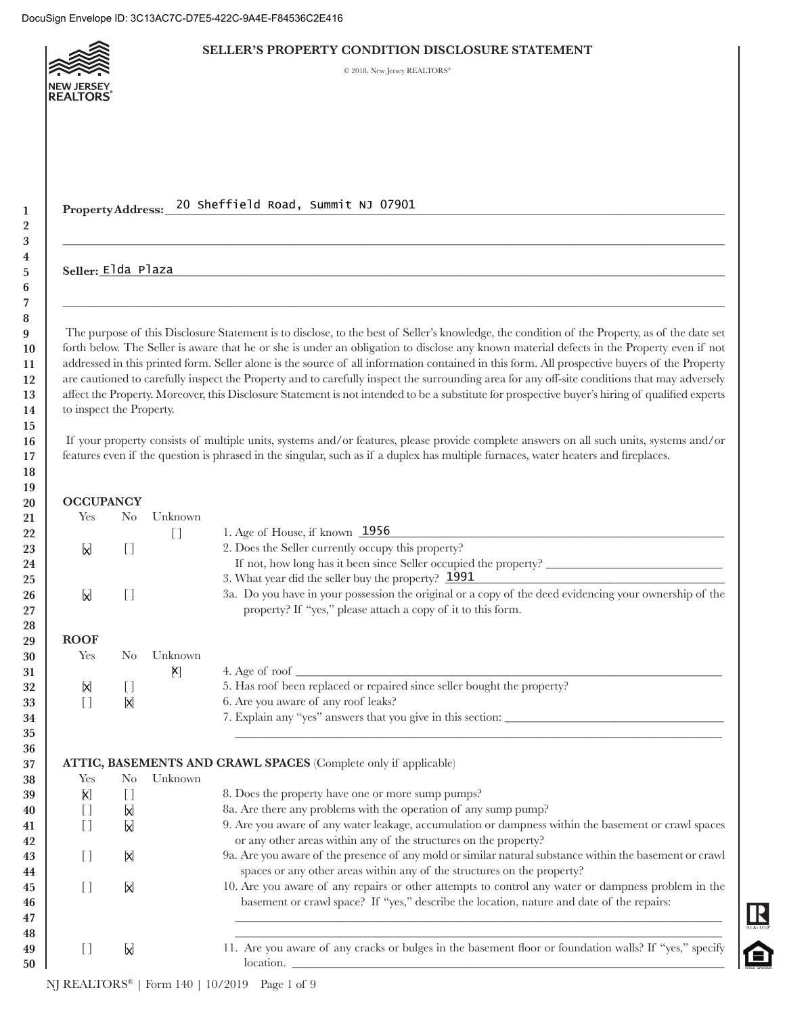

### **SELLER'S PROPERTY CONDITION DISCLOSURE STATEMENT**

 $\odot$  2018, New Jersey REALTORS\*

**Property Address:** \_\_\_\_\_\_\_\_\_\_\_\_\_\_\_\_\_\_\_\_\_\_\_\_\_\_\_\_\_\_\_\_\_\_\_\_\_\_\_\_\_\_\_\_\_\_\_\_\_\_\_\_\_\_\_\_\_\_\_\_\_\_\_\_\_\_\_\_\_\_\_\_\_\_\_\_\_\_\_\_\_\_\_\_\_\_\_\_\_\_\_\_ 20 Sheffield Road, Summit NJ 07901

## **Seller:** \_\_\_\_\_\_\_\_\_\_\_\_\_\_\_\_\_\_\_\_\_\_\_\_\_\_\_\_\_\_\_\_\_\_\_\_\_\_\_\_\_\_\_\_\_\_\_\_\_\_\_\_\_\_\_\_\_\_\_\_\_\_\_\_\_\_\_\_\_\_\_\_\_\_\_\_\_\_\_\_\_\_\_\_\_\_\_\_\_\_\_\_\_\_\_\_\_\_\_\_\_\_\_ Elda Plaza

 The purpose of this Disclosure Statement is to disclose, to the best of Seller's knowledge, the condition of the Property, as of the date set forth below. The Seller is aware that he or she is under an obligation to disclose any known material defects in the Property even if not addressed in this printed form. Seller alone is the source of all information contained in this form. All prospective buyers of the Property are cautioned to carefully inspect the Property and to carefully inspect the surrounding area for any off-site conditions that may adversely affect the Property. Moreover, this Disclosure Statement is not intended to be a substitute for prospective buyer's hiring of qualified experts to inspect the Property.

 $\_$  , and the set of the set of the set of the set of the set of the set of the set of the set of the set of the set of the set of the set of the set of the set of the set of the set of the set of the set of the set of th

 $\_$  , and the set of the set of the set of the set of the set of the set of the set of the set of the set of the set of the set of the set of the set of the set of the set of the set of the set of the set of the set of th

 If your property consists of multiple units, systems and/or features, please provide complete answers on all such units, systems and/or features even if the question is phrased in the singular, such as if a duplex has multiple furnaces, water heaters and fireplaces.

## **OCCUPANCY**

| 21 | Yes                                    | N <sub>0</sub>                         | Unknown |                                                                                                         |
|----|----------------------------------------|----------------------------------------|---------|---------------------------------------------------------------------------------------------------------|
| 22 |                                        |                                        | $[$     | 1. Age of House, if known $1956$                                                                        |
| 23 | M                                      | $[ \ ]$                                |         | 2. Does the Seller currently occupy this property?                                                      |
| 24 |                                        |                                        |         |                                                                                                         |
| 25 |                                        |                                        |         | 3. What year did the seller buy the property? 1991                                                      |
| 26 | <b>N</b>                               | $[$                                    |         | 3a. Do you have in your possession the original or a copy of the deed evidencing your ownership of the  |
| 27 |                                        |                                        |         | property? If "yes," please attach a copy of it to this form.                                            |
| 28 |                                        |                                        |         |                                                                                                         |
| 29 | <b>ROOF</b>                            |                                        |         |                                                                                                         |
| 30 | Yes                                    | N <sub>0</sub>                         | Unknown |                                                                                                         |
| 31 |                                        |                                        | K]      | 4. Age of roof $\overline{\phantom{a}}$                                                                 |
| 32 | X                                      | $\begin{array}{c} \square \end{array}$ |         | 5. Has roof been replaced or repaired since seller bought the property?                                 |
| 33 | $\begin{array}{c} \square \end{array}$ | X                                      |         | 6. Are you aware of any roof leaks?                                                                     |
| 34 |                                        |                                        |         | 7. Explain any "yes" answers that you give in this section:                                             |
| 35 |                                        |                                        |         |                                                                                                         |
| 36 |                                        |                                        |         |                                                                                                         |
| 37 |                                        |                                        |         | ATTIC, BASEMENTS AND CRAWL SPACES (Complete only if applicable)                                         |
| 38 | Yes                                    | $\rm No$                               | Unknown |                                                                                                         |
| 39 | <b>X</b>                               | $[$                                    |         | 8. Does the property have one or more sump pumps?                                                       |
| 40 | $\Box$                                 | <b>N</b>                               |         | 8a. Are there any problems with the operation of any sump pump?                                         |
| 41 | $[ \ ]$                                | <b>N</b>                               |         | 9. Are you aware of any water leakage, accumulation or dampness within the basement or crawl spaces     |
| 42 |                                        |                                        |         | or any other areas within any of the structures on the property?                                        |
| 43 | $\begin{array}{c} \square \end{array}$ | X                                      |         | 9a. Are you aware of the presence of any mold or similar natural substance within the basement or crawl |
| 44 |                                        |                                        |         | spaces or any other areas within any of the structures on the property?                                 |
| 45 | $\begin{array}{c} \square \end{array}$ | <b>N</b>                               |         | 10. Are you aware of any repairs or other attempts to control any water or dampness problem in the      |
| 46 |                                        |                                        |         | basement or crawl space? If "yes," describe the location, nature and date of the repairs:               |
| 47 |                                        |                                        |         |                                                                                                         |
| 48 |                                        |                                        |         |                                                                                                         |
| 49 | $\begin{bmatrix} 1 \end{bmatrix}$      | $\mathsf{N}$                           |         | 11. Are you aware of any cracks or bulges in the basement floor or foundation walls? If "yes," specify  |
| 50 |                                        |                                        |         | location.                                                                                               |
|    |                                        |                                        |         |                                                                                                         |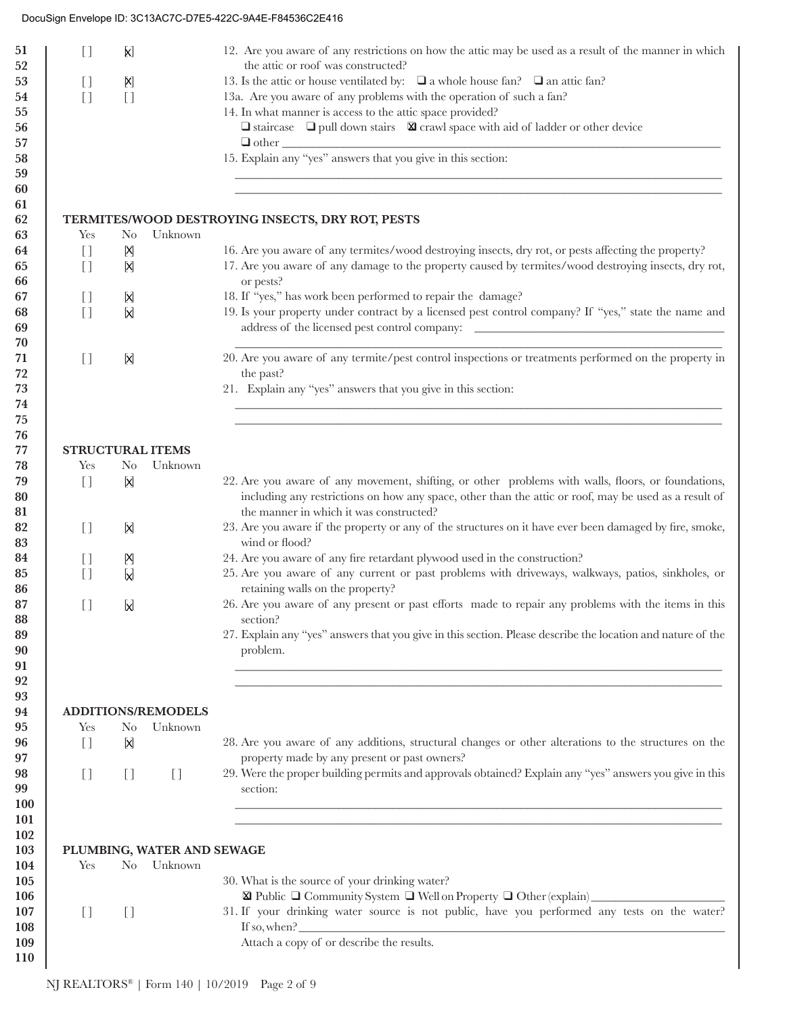| $\begin{array}{c} \square \end{array}$ | <b>K</b>                  |                                   | 12. Are you aware of any restrictions on how the attic may be used as a result of the manner in which                                                                                                                                                                                                                                 |
|----------------------------------------|---------------------------|-----------------------------------|---------------------------------------------------------------------------------------------------------------------------------------------------------------------------------------------------------------------------------------------------------------------------------------------------------------------------------------|
|                                        |                           |                                   | the attic or roof was constructed?                                                                                                                                                                                                                                                                                                    |
| $[$                                    | $\left[\mathsf{X}\right]$ |                                   | 13. Is the attic or house ventilated by: $\Box$ a whole house fan? $\Box$ an attic fan?                                                                                                                                                                                                                                               |
| $\begin{bmatrix} 1 \end{bmatrix}$      | $[ \ ]$                   |                                   | 13a. Are you aware of any problems with the operation of such a fan?                                                                                                                                                                                                                                                                  |
|                                        |                           |                                   | 14. In what manner is access to the attic space provided?                                                                                                                                                                                                                                                                             |
|                                        |                           |                                   | $\Box$ staircase $\Box$ pull down stairs $\Box$ crawl space with aid of ladder or other device                                                                                                                                                                                                                                        |
|                                        |                           |                                   |                                                                                                                                                                                                                                                                                                                                       |
|                                        |                           |                                   | $\Box$ other $\Box$<br>15. Explain any "yes" answers that you give in this section:                                                                                                                                                                                                                                                   |
|                                        |                           |                                   |                                                                                                                                                                                                                                                                                                                                       |
|                                        |                           |                                   |                                                                                                                                                                                                                                                                                                                                       |
|                                        |                           |                                   |                                                                                                                                                                                                                                                                                                                                       |
|                                        |                           |                                   | TERMITES/WOOD DESTROYING INSECTS, DRY ROT, PESTS                                                                                                                                                                                                                                                                                      |
| Yes                                    | N <sub>o</sub>            | Unknown                           |                                                                                                                                                                                                                                                                                                                                       |
| $[$                                    | Ŋ                         |                                   | 16. Are you aware of any termites/wood destroying insects, dry rot, or pests affecting the property?                                                                                                                                                                                                                                  |
| $\begin{bmatrix} 1 \end{bmatrix}$      | X                         |                                   | 17. Are you aware of any damage to the property caused by termites/wood destroying insects, dry rot,                                                                                                                                                                                                                                  |
|                                        |                           |                                   | or pests?                                                                                                                                                                                                                                                                                                                             |
| $[ \ ]$                                | X                         |                                   | 18. If "yes," has work been performed to repair the damage?                                                                                                                                                                                                                                                                           |
| $\begin{bmatrix} 1 \end{bmatrix}$      | X                         |                                   | 19. Is your property under contract by a licensed pest control company? If "yes," state the name and                                                                                                                                                                                                                                  |
|                                        |                           |                                   |                                                                                                                                                                                                                                                                                                                                       |
|                                        |                           |                                   |                                                                                                                                                                                                                                                                                                                                       |
| $\begin{array}{c} \square \end{array}$ | X                         |                                   | 20. Are you aware of any termite/pest control inspections or treatments performed on the property in                                                                                                                                                                                                                                  |
|                                        |                           |                                   | the past?                                                                                                                                                                                                                                                                                                                             |
|                                        |                           |                                   | 21. Explain any "yes" answers that you give in this section:                                                                                                                                                                                                                                                                          |
|                                        |                           |                                   |                                                                                                                                                                                                                                                                                                                                       |
|                                        |                           |                                   |                                                                                                                                                                                                                                                                                                                                       |
|                                        |                           |                                   |                                                                                                                                                                                                                                                                                                                                       |
| <b>STRUCTURAL ITEMS</b>                |                           |                                   |                                                                                                                                                                                                                                                                                                                                       |
| Yes                                    | N <sub>0</sub>            | Unknown                           |                                                                                                                                                                                                                                                                                                                                       |
| $[ \ ]$                                | X                         |                                   | 22. Are you aware of any movement, shifting, or other problems with walls, floors, or foundations,                                                                                                                                                                                                                                    |
|                                        |                           |                                   | including any restrictions on how any space, other than the attic or roof, may be used as a result of                                                                                                                                                                                                                                 |
|                                        |                           |                                   | the manner in which it was constructed?                                                                                                                                                                                                                                                                                               |
| $\begin{array}{c} \square \end{array}$ | X                         |                                   | 23. Are you aware if the property or any of the structures on it have ever been damaged by fire, smoke,                                                                                                                                                                                                                               |
|                                        |                           |                                   | wind or flood?                                                                                                                                                                                                                                                                                                                        |
| U                                      | Ŋ                         |                                   | 24. Are you aware of any fire retardant plywood used in the construction?                                                                                                                                                                                                                                                             |
| []                                     | M                         |                                   | 25. Are you aware of any current or past problems with driveways, walkways, patios, sinkholes, or                                                                                                                                                                                                                                     |
|                                        |                           |                                   | retaining walls on the property?                                                                                                                                                                                                                                                                                                      |
| $[$                                    | M                         |                                   | 26. Are you aware of any present or past efforts made to repair any problems with the items in this                                                                                                                                                                                                                                   |
|                                        |                           |                                   | section?                                                                                                                                                                                                                                                                                                                              |
|                                        |                           |                                   | 27. Explain any "yes" answers that you give in this section. Please describe the location and nature of the                                                                                                                                                                                                                           |
|                                        |                           |                                   | problem.                                                                                                                                                                                                                                                                                                                              |
|                                        |                           |                                   |                                                                                                                                                                                                                                                                                                                                       |
|                                        |                           |                                   |                                                                                                                                                                                                                                                                                                                                       |
|                                        |                           |                                   |                                                                                                                                                                                                                                                                                                                                       |
|                                        |                           |                                   |                                                                                                                                                                                                                                                                                                                                       |
| <b>ADDITIONS/REMODELS</b>              |                           |                                   |                                                                                                                                                                                                                                                                                                                                       |
| Yes                                    | N <sub>0</sub>            | Unknown                           |                                                                                                                                                                                                                                                                                                                                       |
| $\begin{bmatrix} 1 \end{bmatrix}$      | X                         |                                   |                                                                                                                                                                                                                                                                                                                                       |
|                                        |                           |                                   | property made by any present or past owners?                                                                                                                                                                                                                                                                                          |
| $[$                                    | $[ \ ]$                   | $\begin{bmatrix} 1 \end{bmatrix}$ | 28. Are you aware of any additions, structural changes or other alterations to the structures on the<br>29. Were the proper building permits and approvals obtained? Explain any "yes" answers you give in this                                                                                                                       |
|                                        |                           |                                   | section:                                                                                                                                                                                                                                                                                                                              |
|                                        |                           |                                   |                                                                                                                                                                                                                                                                                                                                       |
|                                        |                           |                                   |                                                                                                                                                                                                                                                                                                                                       |
|                                        |                           |                                   |                                                                                                                                                                                                                                                                                                                                       |
|                                        |                           | PLUMBING, WATER AND SEWAGE        |                                                                                                                                                                                                                                                                                                                                       |
| Yes                                    | N <sub>0</sub>            | Unknown                           |                                                                                                                                                                                                                                                                                                                                       |
|                                        |                           |                                   | 30. What is the source of your drinking water?                                                                                                                                                                                                                                                                                        |
|                                        |                           |                                   |                                                                                                                                                                                                                                                                                                                                       |
| $[$                                    | $[$                       |                                   | $\textbf{X} \ \text{Public} \ \textcolor{red}{\Box} \ \text{Commuty System} \ \textcolor{red}{\Box} \ \text{Well on Property} \ \textcolor{red}{\Box} \ \text{Other} \ \text{(explain)} \ \textcolor{red}{\underline{\hspace{15em}} }$<br>31. If your drinking water source is not public, have you performed any tests on the water? |
|                                        |                           |                                   | Attach a copy of or describe the results.                                                                                                                                                                                                                                                                                             |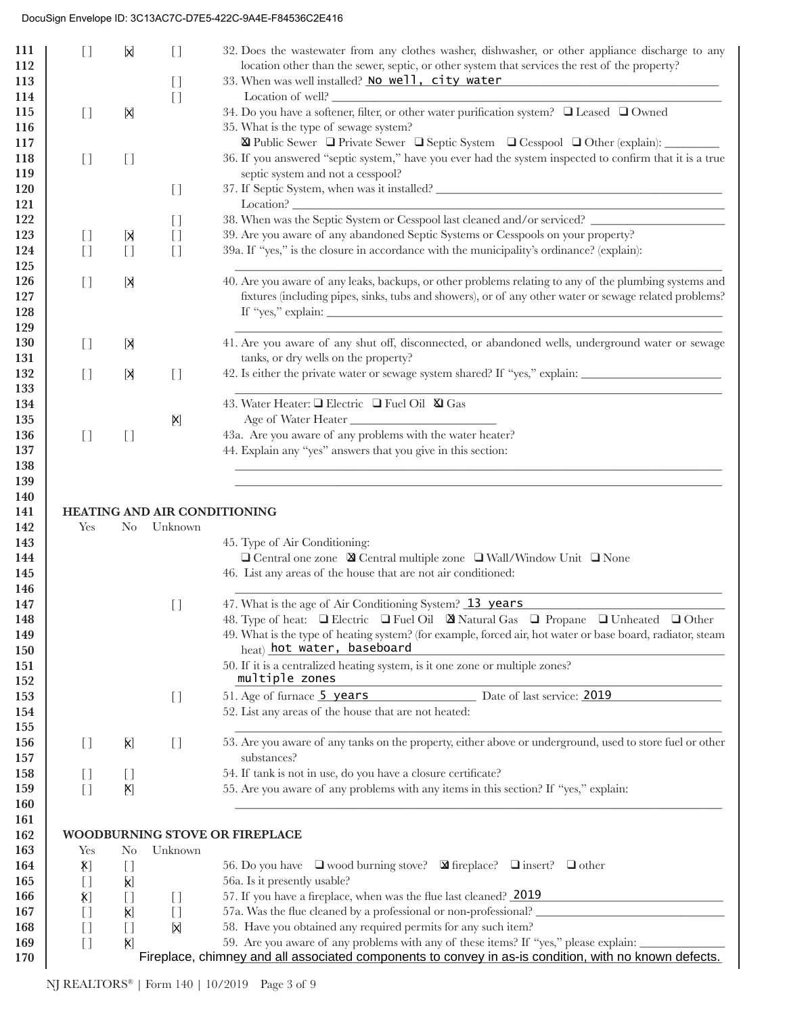| location other than the sewer, septic, or other system that services the rest of the property?<br>112<br>33. When was well installed? No well, city water<br>113<br>$[$<br>Location of well?<br>114<br>$[$<br>34. Do you have a softener, filter, or other water purification system? □ Leased □ Owned<br>115<br>$[$<br>X<br>35. What is the type of sewage system?<br>116<br>117<br>118<br>$[ \ ]$<br>$[ \ ]$<br>septic system and not a cesspool?<br>119<br>120<br>$[$<br>121<br>122<br>$[ \ ]$<br>39. Are you aware of any abandoned Septic Systems or Cesspools on your property?<br>123<br>[X<br>$[$<br>$\begin{bmatrix} 1 \end{bmatrix}$<br>39a. If "yes," is the closure in accordance with the municipality's ordinance? (explain):<br>$[ \ ]$<br>124<br>$[ \ ]$<br>$[$<br>125<br>126<br>$[ \ ]$<br>X<br>127<br>128<br>129<br>130<br>[X]<br>$[ \ ]$<br>tanks, or dry wells on the property?<br>131<br>132<br>$[ \ ]$<br>X<br>$[ \ ]$<br>133<br>43. Water Heater: □ Electric □ Fuel Oil ⊠ Gas<br>134<br>Age of Water Heater<br>135<br>$\mathsf{X}$<br>43a. Are you aware of any problems with the water heater?<br>136<br>$[ \ ]$<br>$[ \ ]$<br>44. Explain any "yes" answers that you give in this section:<br>137<br>138<br>139<br>140<br>HEATING AND AIR CONDITIONING<br>141<br>142<br>Yes<br>Unknown<br>$\rm No$<br>143<br>45. Type of Air Conditioning:<br>$\Box$ Central one zone $\boxtimes$ Central multiple zone $\Box$ Wall/Window Unit $\Box$ None<br>144<br>46. List any areas of the house that are not air conditioned:<br>145<br>146<br>47. What is the age of Air Conditioning System? 13 years<br>147<br>$[ \ ]$<br>48. Type of heat: $\Box$ Electric $\Box$ Fuel Oil $\Box$ Natural Gas $\Box$ Propane $\Box$ Unheated $\Box$ Other<br>148<br>49. What is the type of heating system? (for example, forced air, hot water or base board, radiator, steam<br>149<br>heat) hot water, baseboard<br>150<br>50. If it is a centralized heating system, is it one zone or multiple zones?<br>151<br>multiple zones<br>152<br>51. Age of furnace 5 years Date of last service: 2019<br>153<br>$\begin{array}{c} \square \end{array}$<br>52. List any areas of the house that are not heated:<br>154<br>155<br>53. Are you aware of any tanks on the property, either above or underground, used to store fuel or other<br>156<br>$[ \ ]$<br>X)<br>$[ \ ]$<br>substances?<br>157<br>54. If tank is not in use, do you have a closure certificate?<br>158<br>$[ \ ]$<br>$[ \ ]$<br>55. Are you aware of any problems with any items in this section? If "yes," explain:<br>159<br>$[ ]$<br>X)<br>160<br>161<br>WOODBURNING STOVE OR FIREPLACE<br>162<br>163<br>Unknown<br>Yes<br>N <sub>0</sub><br>56. Do you have $\Box$ wood burning stove? $\Box$ fireplace? $\Box$ insert? $\Box$ other<br>$[\Sigma]$<br>164<br>$[ \ ]$<br>56a. Is it presently usable?<br>165<br>$[ \ ]$<br>K)<br>57. If you have a fireplace, when was the flue last cleaned? 2019<br>$\bm{\mathsf{X}}]$<br>166<br>$[ \ ]$<br>$[ \ ]$<br>57a. Was the flue cleaned by a professional or non-professional?<br>167<br>$[ \ ]$<br>X)<br>$[ \ ]$<br>58. Have you obtained any required permits for any such item?<br>$[ \ ]$<br>X<br>168<br>$[ \ ]$<br>59. Are you aware of any problems with any of these items? If "yes," please explain:<br>169<br>$[ \ ]$<br>X) | 111 | $[ \ ]$ | X | $[$ | 32. Does the wastewater from any clothes washer, dishwasher, or other appliance discharge to any         |
|--------------------------------------------------------------------------------------------------------------------------------------------------------------------------------------------------------------------------------------------------------------------------------------------------------------------------------------------------------------------------------------------------------------------------------------------------------------------------------------------------------------------------------------------------------------------------------------------------------------------------------------------------------------------------------------------------------------------------------------------------------------------------------------------------------------------------------------------------------------------------------------------------------------------------------------------------------------------------------------------------------------------------------------------------------------------------------------------------------------------------------------------------------------------------------------------------------------------------------------------------------------------------------------------------------------------------------------------------------------------------------------------------------------------------------------------------------------------------------------------------------------------------------------------------------------------------------------------------------------------------------------------------------------------------------------------------------------------------------------------------------------------------------------------------------------------------------------------------------------------------------------------------------------------------------------------------------------------------------------------------------------------------------------------------------------------------------------------------------------------------------------------------------------------------------------------------------------------------------------------------------------------------------------------------------------------------------------------------------------------------------------------------------------------------------------------------------------------------------------------------------------------------------------------------------------------------------------------------------------------------------------------------------------------------------------------------------------------------------------------------------------------------------------------------------------------------------------------------------------------------------------------------------------------------------------------------------------------------------------------------------------------------------------------------------------------------------------------------------------------------------------------------------------------------------------------------------------------------------------------------------------------------------------------------------------------------------------------------------|-----|---------|---|-----|----------------------------------------------------------------------------------------------------------|
|                                                                                                                                                                                                                                                                                                                                                                                                                                                                                                                                                                                                                                                                                                                                                                                                                                                                                                                                                                                                                                                                                                                                                                                                                                                                                                                                                                                                                                                                                                                                                                                                                                                                                                                                                                                                                                                                                                                                                                                                                                                                                                                                                                                                                                                                                                                                                                                                                                                                                                                                                                                                                                                                                                                                                                                                                                                                                                                                                                                                                                                                                                                                                                                                                                                                                                                                                        |     |         |   |     |                                                                                                          |
|                                                                                                                                                                                                                                                                                                                                                                                                                                                                                                                                                                                                                                                                                                                                                                                                                                                                                                                                                                                                                                                                                                                                                                                                                                                                                                                                                                                                                                                                                                                                                                                                                                                                                                                                                                                                                                                                                                                                                                                                                                                                                                                                                                                                                                                                                                                                                                                                                                                                                                                                                                                                                                                                                                                                                                                                                                                                                                                                                                                                                                                                                                                                                                                                                                                                                                                                                        |     |         |   |     |                                                                                                          |
|                                                                                                                                                                                                                                                                                                                                                                                                                                                                                                                                                                                                                                                                                                                                                                                                                                                                                                                                                                                                                                                                                                                                                                                                                                                                                                                                                                                                                                                                                                                                                                                                                                                                                                                                                                                                                                                                                                                                                                                                                                                                                                                                                                                                                                                                                                                                                                                                                                                                                                                                                                                                                                                                                                                                                                                                                                                                                                                                                                                                                                                                                                                                                                                                                                                                                                                                                        |     |         |   |     |                                                                                                          |
|                                                                                                                                                                                                                                                                                                                                                                                                                                                                                                                                                                                                                                                                                                                                                                                                                                                                                                                                                                                                                                                                                                                                                                                                                                                                                                                                                                                                                                                                                                                                                                                                                                                                                                                                                                                                                                                                                                                                                                                                                                                                                                                                                                                                                                                                                                                                                                                                                                                                                                                                                                                                                                                                                                                                                                                                                                                                                                                                                                                                                                                                                                                                                                                                                                                                                                                                                        |     |         |   |     |                                                                                                          |
|                                                                                                                                                                                                                                                                                                                                                                                                                                                                                                                                                                                                                                                                                                                                                                                                                                                                                                                                                                                                                                                                                                                                                                                                                                                                                                                                                                                                                                                                                                                                                                                                                                                                                                                                                                                                                                                                                                                                                                                                                                                                                                                                                                                                                                                                                                                                                                                                                                                                                                                                                                                                                                                                                                                                                                                                                                                                                                                                                                                                                                                                                                                                                                                                                                                                                                                                                        |     |         |   |     |                                                                                                          |
|                                                                                                                                                                                                                                                                                                                                                                                                                                                                                                                                                                                                                                                                                                                                                                                                                                                                                                                                                                                                                                                                                                                                                                                                                                                                                                                                                                                                                                                                                                                                                                                                                                                                                                                                                                                                                                                                                                                                                                                                                                                                                                                                                                                                                                                                                                                                                                                                                                                                                                                                                                                                                                                                                                                                                                                                                                                                                                                                                                                                                                                                                                                                                                                                                                                                                                                                                        |     |         |   |     | ⊠ Public Sewer □ Private Sewer □ Septic System □ Cesspool □ Other (explain):                             |
|                                                                                                                                                                                                                                                                                                                                                                                                                                                                                                                                                                                                                                                                                                                                                                                                                                                                                                                                                                                                                                                                                                                                                                                                                                                                                                                                                                                                                                                                                                                                                                                                                                                                                                                                                                                                                                                                                                                                                                                                                                                                                                                                                                                                                                                                                                                                                                                                                                                                                                                                                                                                                                                                                                                                                                                                                                                                                                                                                                                                                                                                                                                                                                                                                                                                                                                                                        |     |         |   |     | 36. If you answered "septic system," have you ever had the system inspected to confirm that it is a true |
|                                                                                                                                                                                                                                                                                                                                                                                                                                                                                                                                                                                                                                                                                                                                                                                                                                                                                                                                                                                                                                                                                                                                                                                                                                                                                                                                                                                                                                                                                                                                                                                                                                                                                                                                                                                                                                                                                                                                                                                                                                                                                                                                                                                                                                                                                                                                                                                                                                                                                                                                                                                                                                                                                                                                                                                                                                                                                                                                                                                                                                                                                                                                                                                                                                                                                                                                                        |     |         |   |     |                                                                                                          |
|                                                                                                                                                                                                                                                                                                                                                                                                                                                                                                                                                                                                                                                                                                                                                                                                                                                                                                                                                                                                                                                                                                                                                                                                                                                                                                                                                                                                                                                                                                                                                                                                                                                                                                                                                                                                                                                                                                                                                                                                                                                                                                                                                                                                                                                                                                                                                                                                                                                                                                                                                                                                                                                                                                                                                                                                                                                                                                                                                                                                                                                                                                                                                                                                                                                                                                                                                        |     |         |   |     |                                                                                                          |
|                                                                                                                                                                                                                                                                                                                                                                                                                                                                                                                                                                                                                                                                                                                                                                                                                                                                                                                                                                                                                                                                                                                                                                                                                                                                                                                                                                                                                                                                                                                                                                                                                                                                                                                                                                                                                                                                                                                                                                                                                                                                                                                                                                                                                                                                                                                                                                                                                                                                                                                                                                                                                                                                                                                                                                                                                                                                                                                                                                                                                                                                                                                                                                                                                                                                                                                                                        |     |         |   |     |                                                                                                          |
|                                                                                                                                                                                                                                                                                                                                                                                                                                                                                                                                                                                                                                                                                                                                                                                                                                                                                                                                                                                                                                                                                                                                                                                                                                                                                                                                                                                                                                                                                                                                                                                                                                                                                                                                                                                                                                                                                                                                                                                                                                                                                                                                                                                                                                                                                                                                                                                                                                                                                                                                                                                                                                                                                                                                                                                                                                                                                                                                                                                                                                                                                                                                                                                                                                                                                                                                                        |     |         |   |     | 38. When was the Septic System or Cesspool last cleaned and/or serviced? ___________________________     |
|                                                                                                                                                                                                                                                                                                                                                                                                                                                                                                                                                                                                                                                                                                                                                                                                                                                                                                                                                                                                                                                                                                                                                                                                                                                                                                                                                                                                                                                                                                                                                                                                                                                                                                                                                                                                                                                                                                                                                                                                                                                                                                                                                                                                                                                                                                                                                                                                                                                                                                                                                                                                                                                                                                                                                                                                                                                                                                                                                                                                                                                                                                                                                                                                                                                                                                                                                        |     |         |   |     |                                                                                                          |
|                                                                                                                                                                                                                                                                                                                                                                                                                                                                                                                                                                                                                                                                                                                                                                                                                                                                                                                                                                                                                                                                                                                                                                                                                                                                                                                                                                                                                                                                                                                                                                                                                                                                                                                                                                                                                                                                                                                                                                                                                                                                                                                                                                                                                                                                                                                                                                                                                                                                                                                                                                                                                                                                                                                                                                                                                                                                                                                                                                                                                                                                                                                                                                                                                                                                                                                                                        |     |         |   |     |                                                                                                          |
|                                                                                                                                                                                                                                                                                                                                                                                                                                                                                                                                                                                                                                                                                                                                                                                                                                                                                                                                                                                                                                                                                                                                                                                                                                                                                                                                                                                                                                                                                                                                                                                                                                                                                                                                                                                                                                                                                                                                                                                                                                                                                                                                                                                                                                                                                                                                                                                                                                                                                                                                                                                                                                                                                                                                                                                                                                                                                                                                                                                                                                                                                                                                                                                                                                                                                                                                                        |     |         |   |     |                                                                                                          |
|                                                                                                                                                                                                                                                                                                                                                                                                                                                                                                                                                                                                                                                                                                                                                                                                                                                                                                                                                                                                                                                                                                                                                                                                                                                                                                                                                                                                                                                                                                                                                                                                                                                                                                                                                                                                                                                                                                                                                                                                                                                                                                                                                                                                                                                                                                                                                                                                                                                                                                                                                                                                                                                                                                                                                                                                                                                                                                                                                                                                                                                                                                                                                                                                                                                                                                                                                        |     |         |   |     | 40. Are you aware of any leaks, backups, or other problems relating to any of the plumbing systems and   |
|                                                                                                                                                                                                                                                                                                                                                                                                                                                                                                                                                                                                                                                                                                                                                                                                                                                                                                                                                                                                                                                                                                                                                                                                                                                                                                                                                                                                                                                                                                                                                                                                                                                                                                                                                                                                                                                                                                                                                                                                                                                                                                                                                                                                                                                                                                                                                                                                                                                                                                                                                                                                                                                                                                                                                                                                                                                                                                                                                                                                                                                                                                                                                                                                                                                                                                                                                        |     |         |   |     | fixtures (including pipes, sinks, tubs and showers), or of any other water or sewage related problems?   |
|                                                                                                                                                                                                                                                                                                                                                                                                                                                                                                                                                                                                                                                                                                                                                                                                                                                                                                                                                                                                                                                                                                                                                                                                                                                                                                                                                                                                                                                                                                                                                                                                                                                                                                                                                                                                                                                                                                                                                                                                                                                                                                                                                                                                                                                                                                                                                                                                                                                                                                                                                                                                                                                                                                                                                                                                                                                                                                                                                                                                                                                                                                                                                                                                                                                                                                                                                        |     |         |   |     |                                                                                                          |
|                                                                                                                                                                                                                                                                                                                                                                                                                                                                                                                                                                                                                                                                                                                                                                                                                                                                                                                                                                                                                                                                                                                                                                                                                                                                                                                                                                                                                                                                                                                                                                                                                                                                                                                                                                                                                                                                                                                                                                                                                                                                                                                                                                                                                                                                                                                                                                                                                                                                                                                                                                                                                                                                                                                                                                                                                                                                                                                                                                                                                                                                                                                                                                                                                                                                                                                                                        |     |         |   |     |                                                                                                          |
|                                                                                                                                                                                                                                                                                                                                                                                                                                                                                                                                                                                                                                                                                                                                                                                                                                                                                                                                                                                                                                                                                                                                                                                                                                                                                                                                                                                                                                                                                                                                                                                                                                                                                                                                                                                                                                                                                                                                                                                                                                                                                                                                                                                                                                                                                                                                                                                                                                                                                                                                                                                                                                                                                                                                                                                                                                                                                                                                                                                                                                                                                                                                                                                                                                                                                                                                                        |     |         |   |     | 41. Are you aware of any shut off, disconnected, or abandoned wells, underground water or sewage         |
|                                                                                                                                                                                                                                                                                                                                                                                                                                                                                                                                                                                                                                                                                                                                                                                                                                                                                                                                                                                                                                                                                                                                                                                                                                                                                                                                                                                                                                                                                                                                                                                                                                                                                                                                                                                                                                                                                                                                                                                                                                                                                                                                                                                                                                                                                                                                                                                                                                                                                                                                                                                                                                                                                                                                                                                                                                                                                                                                                                                                                                                                                                                                                                                                                                                                                                                                                        |     |         |   |     |                                                                                                          |
|                                                                                                                                                                                                                                                                                                                                                                                                                                                                                                                                                                                                                                                                                                                                                                                                                                                                                                                                                                                                                                                                                                                                                                                                                                                                                                                                                                                                                                                                                                                                                                                                                                                                                                                                                                                                                                                                                                                                                                                                                                                                                                                                                                                                                                                                                                                                                                                                                                                                                                                                                                                                                                                                                                                                                                                                                                                                                                                                                                                                                                                                                                                                                                                                                                                                                                                                                        |     |         |   |     | 42. Is either the private water or sewage system shared? If "yes," explain:                              |
|                                                                                                                                                                                                                                                                                                                                                                                                                                                                                                                                                                                                                                                                                                                                                                                                                                                                                                                                                                                                                                                                                                                                                                                                                                                                                                                                                                                                                                                                                                                                                                                                                                                                                                                                                                                                                                                                                                                                                                                                                                                                                                                                                                                                                                                                                                                                                                                                                                                                                                                                                                                                                                                                                                                                                                                                                                                                                                                                                                                                                                                                                                                                                                                                                                                                                                                                                        |     |         |   |     |                                                                                                          |
|                                                                                                                                                                                                                                                                                                                                                                                                                                                                                                                                                                                                                                                                                                                                                                                                                                                                                                                                                                                                                                                                                                                                                                                                                                                                                                                                                                                                                                                                                                                                                                                                                                                                                                                                                                                                                                                                                                                                                                                                                                                                                                                                                                                                                                                                                                                                                                                                                                                                                                                                                                                                                                                                                                                                                                                                                                                                                                                                                                                                                                                                                                                                                                                                                                                                                                                                                        |     |         |   |     |                                                                                                          |
|                                                                                                                                                                                                                                                                                                                                                                                                                                                                                                                                                                                                                                                                                                                                                                                                                                                                                                                                                                                                                                                                                                                                                                                                                                                                                                                                                                                                                                                                                                                                                                                                                                                                                                                                                                                                                                                                                                                                                                                                                                                                                                                                                                                                                                                                                                                                                                                                                                                                                                                                                                                                                                                                                                                                                                                                                                                                                                                                                                                                                                                                                                                                                                                                                                                                                                                                                        |     |         |   |     |                                                                                                          |
|                                                                                                                                                                                                                                                                                                                                                                                                                                                                                                                                                                                                                                                                                                                                                                                                                                                                                                                                                                                                                                                                                                                                                                                                                                                                                                                                                                                                                                                                                                                                                                                                                                                                                                                                                                                                                                                                                                                                                                                                                                                                                                                                                                                                                                                                                                                                                                                                                                                                                                                                                                                                                                                                                                                                                                                                                                                                                                                                                                                                                                                                                                                                                                                                                                                                                                                                                        |     |         |   |     |                                                                                                          |
|                                                                                                                                                                                                                                                                                                                                                                                                                                                                                                                                                                                                                                                                                                                                                                                                                                                                                                                                                                                                                                                                                                                                                                                                                                                                                                                                                                                                                                                                                                                                                                                                                                                                                                                                                                                                                                                                                                                                                                                                                                                                                                                                                                                                                                                                                                                                                                                                                                                                                                                                                                                                                                                                                                                                                                                                                                                                                                                                                                                                                                                                                                                                                                                                                                                                                                                                                        |     |         |   |     |                                                                                                          |
|                                                                                                                                                                                                                                                                                                                                                                                                                                                                                                                                                                                                                                                                                                                                                                                                                                                                                                                                                                                                                                                                                                                                                                                                                                                                                                                                                                                                                                                                                                                                                                                                                                                                                                                                                                                                                                                                                                                                                                                                                                                                                                                                                                                                                                                                                                                                                                                                                                                                                                                                                                                                                                                                                                                                                                                                                                                                                                                                                                                                                                                                                                                                                                                                                                                                                                                                                        |     |         |   |     |                                                                                                          |
|                                                                                                                                                                                                                                                                                                                                                                                                                                                                                                                                                                                                                                                                                                                                                                                                                                                                                                                                                                                                                                                                                                                                                                                                                                                                                                                                                                                                                                                                                                                                                                                                                                                                                                                                                                                                                                                                                                                                                                                                                                                                                                                                                                                                                                                                                                                                                                                                                                                                                                                                                                                                                                                                                                                                                                                                                                                                                                                                                                                                                                                                                                                                                                                                                                                                                                                                                        |     |         |   |     |                                                                                                          |
|                                                                                                                                                                                                                                                                                                                                                                                                                                                                                                                                                                                                                                                                                                                                                                                                                                                                                                                                                                                                                                                                                                                                                                                                                                                                                                                                                                                                                                                                                                                                                                                                                                                                                                                                                                                                                                                                                                                                                                                                                                                                                                                                                                                                                                                                                                                                                                                                                                                                                                                                                                                                                                                                                                                                                                                                                                                                                                                                                                                                                                                                                                                                                                                                                                                                                                                                                        |     |         |   |     |                                                                                                          |
|                                                                                                                                                                                                                                                                                                                                                                                                                                                                                                                                                                                                                                                                                                                                                                                                                                                                                                                                                                                                                                                                                                                                                                                                                                                                                                                                                                                                                                                                                                                                                                                                                                                                                                                                                                                                                                                                                                                                                                                                                                                                                                                                                                                                                                                                                                                                                                                                                                                                                                                                                                                                                                                                                                                                                                                                                                                                                                                                                                                                                                                                                                                                                                                                                                                                                                                                                        |     |         |   |     |                                                                                                          |
|                                                                                                                                                                                                                                                                                                                                                                                                                                                                                                                                                                                                                                                                                                                                                                                                                                                                                                                                                                                                                                                                                                                                                                                                                                                                                                                                                                                                                                                                                                                                                                                                                                                                                                                                                                                                                                                                                                                                                                                                                                                                                                                                                                                                                                                                                                                                                                                                                                                                                                                                                                                                                                                                                                                                                                                                                                                                                                                                                                                                                                                                                                                                                                                                                                                                                                                                                        |     |         |   |     |                                                                                                          |
|                                                                                                                                                                                                                                                                                                                                                                                                                                                                                                                                                                                                                                                                                                                                                                                                                                                                                                                                                                                                                                                                                                                                                                                                                                                                                                                                                                                                                                                                                                                                                                                                                                                                                                                                                                                                                                                                                                                                                                                                                                                                                                                                                                                                                                                                                                                                                                                                                                                                                                                                                                                                                                                                                                                                                                                                                                                                                                                                                                                                                                                                                                                                                                                                                                                                                                                                                        |     |         |   |     |                                                                                                          |
|                                                                                                                                                                                                                                                                                                                                                                                                                                                                                                                                                                                                                                                                                                                                                                                                                                                                                                                                                                                                                                                                                                                                                                                                                                                                                                                                                                                                                                                                                                                                                                                                                                                                                                                                                                                                                                                                                                                                                                                                                                                                                                                                                                                                                                                                                                                                                                                                                                                                                                                                                                                                                                                                                                                                                                                                                                                                                                                                                                                                                                                                                                                                                                                                                                                                                                                                                        |     |         |   |     |                                                                                                          |
|                                                                                                                                                                                                                                                                                                                                                                                                                                                                                                                                                                                                                                                                                                                                                                                                                                                                                                                                                                                                                                                                                                                                                                                                                                                                                                                                                                                                                                                                                                                                                                                                                                                                                                                                                                                                                                                                                                                                                                                                                                                                                                                                                                                                                                                                                                                                                                                                                                                                                                                                                                                                                                                                                                                                                                                                                                                                                                                                                                                                                                                                                                                                                                                                                                                                                                                                                        |     |         |   |     |                                                                                                          |
|                                                                                                                                                                                                                                                                                                                                                                                                                                                                                                                                                                                                                                                                                                                                                                                                                                                                                                                                                                                                                                                                                                                                                                                                                                                                                                                                                                                                                                                                                                                                                                                                                                                                                                                                                                                                                                                                                                                                                                                                                                                                                                                                                                                                                                                                                                                                                                                                                                                                                                                                                                                                                                                                                                                                                                                                                                                                                                                                                                                                                                                                                                                                                                                                                                                                                                                                                        |     |         |   |     |                                                                                                          |
|                                                                                                                                                                                                                                                                                                                                                                                                                                                                                                                                                                                                                                                                                                                                                                                                                                                                                                                                                                                                                                                                                                                                                                                                                                                                                                                                                                                                                                                                                                                                                                                                                                                                                                                                                                                                                                                                                                                                                                                                                                                                                                                                                                                                                                                                                                                                                                                                                                                                                                                                                                                                                                                                                                                                                                                                                                                                                                                                                                                                                                                                                                                                                                                                                                                                                                                                                        |     |         |   |     |                                                                                                          |
|                                                                                                                                                                                                                                                                                                                                                                                                                                                                                                                                                                                                                                                                                                                                                                                                                                                                                                                                                                                                                                                                                                                                                                                                                                                                                                                                                                                                                                                                                                                                                                                                                                                                                                                                                                                                                                                                                                                                                                                                                                                                                                                                                                                                                                                                                                                                                                                                                                                                                                                                                                                                                                                                                                                                                                                                                                                                                                                                                                                                                                                                                                                                                                                                                                                                                                                                                        |     |         |   |     |                                                                                                          |
|                                                                                                                                                                                                                                                                                                                                                                                                                                                                                                                                                                                                                                                                                                                                                                                                                                                                                                                                                                                                                                                                                                                                                                                                                                                                                                                                                                                                                                                                                                                                                                                                                                                                                                                                                                                                                                                                                                                                                                                                                                                                                                                                                                                                                                                                                                                                                                                                                                                                                                                                                                                                                                                                                                                                                                                                                                                                                                                                                                                                                                                                                                                                                                                                                                                                                                                                                        |     |         |   |     |                                                                                                          |
|                                                                                                                                                                                                                                                                                                                                                                                                                                                                                                                                                                                                                                                                                                                                                                                                                                                                                                                                                                                                                                                                                                                                                                                                                                                                                                                                                                                                                                                                                                                                                                                                                                                                                                                                                                                                                                                                                                                                                                                                                                                                                                                                                                                                                                                                                                                                                                                                                                                                                                                                                                                                                                                                                                                                                                                                                                                                                                                                                                                                                                                                                                                                                                                                                                                                                                                                                        |     |         |   |     |                                                                                                          |
|                                                                                                                                                                                                                                                                                                                                                                                                                                                                                                                                                                                                                                                                                                                                                                                                                                                                                                                                                                                                                                                                                                                                                                                                                                                                                                                                                                                                                                                                                                                                                                                                                                                                                                                                                                                                                                                                                                                                                                                                                                                                                                                                                                                                                                                                                                                                                                                                                                                                                                                                                                                                                                                                                                                                                                                                                                                                                                                                                                                                                                                                                                                                                                                                                                                                                                                                                        |     |         |   |     |                                                                                                          |
|                                                                                                                                                                                                                                                                                                                                                                                                                                                                                                                                                                                                                                                                                                                                                                                                                                                                                                                                                                                                                                                                                                                                                                                                                                                                                                                                                                                                                                                                                                                                                                                                                                                                                                                                                                                                                                                                                                                                                                                                                                                                                                                                                                                                                                                                                                                                                                                                                                                                                                                                                                                                                                                                                                                                                                                                                                                                                                                                                                                                                                                                                                                                                                                                                                                                                                                                                        |     |         |   |     |                                                                                                          |
|                                                                                                                                                                                                                                                                                                                                                                                                                                                                                                                                                                                                                                                                                                                                                                                                                                                                                                                                                                                                                                                                                                                                                                                                                                                                                                                                                                                                                                                                                                                                                                                                                                                                                                                                                                                                                                                                                                                                                                                                                                                                                                                                                                                                                                                                                                                                                                                                                                                                                                                                                                                                                                                                                                                                                                                                                                                                                                                                                                                                                                                                                                                                                                                                                                                                                                                                                        |     |         |   |     |                                                                                                          |
|                                                                                                                                                                                                                                                                                                                                                                                                                                                                                                                                                                                                                                                                                                                                                                                                                                                                                                                                                                                                                                                                                                                                                                                                                                                                                                                                                                                                                                                                                                                                                                                                                                                                                                                                                                                                                                                                                                                                                                                                                                                                                                                                                                                                                                                                                                                                                                                                                                                                                                                                                                                                                                                                                                                                                                                                                                                                                                                                                                                                                                                                                                                                                                                                                                                                                                                                                        |     |         |   |     |                                                                                                          |
|                                                                                                                                                                                                                                                                                                                                                                                                                                                                                                                                                                                                                                                                                                                                                                                                                                                                                                                                                                                                                                                                                                                                                                                                                                                                                                                                                                                                                                                                                                                                                                                                                                                                                                                                                                                                                                                                                                                                                                                                                                                                                                                                                                                                                                                                                                                                                                                                                                                                                                                                                                                                                                                                                                                                                                                                                                                                                                                                                                                                                                                                                                                                                                                                                                                                                                                                                        |     |         |   |     |                                                                                                          |
|                                                                                                                                                                                                                                                                                                                                                                                                                                                                                                                                                                                                                                                                                                                                                                                                                                                                                                                                                                                                                                                                                                                                                                                                                                                                                                                                                                                                                                                                                                                                                                                                                                                                                                                                                                                                                                                                                                                                                                                                                                                                                                                                                                                                                                                                                                                                                                                                                                                                                                                                                                                                                                                                                                                                                                                                                                                                                                                                                                                                                                                                                                                                                                                                                                                                                                                                                        |     |         |   |     |                                                                                                          |
|                                                                                                                                                                                                                                                                                                                                                                                                                                                                                                                                                                                                                                                                                                                                                                                                                                                                                                                                                                                                                                                                                                                                                                                                                                                                                                                                                                                                                                                                                                                                                                                                                                                                                                                                                                                                                                                                                                                                                                                                                                                                                                                                                                                                                                                                                                                                                                                                                                                                                                                                                                                                                                                                                                                                                                                                                                                                                                                                                                                                                                                                                                                                                                                                                                                                                                                                                        |     |         |   |     |                                                                                                          |
|                                                                                                                                                                                                                                                                                                                                                                                                                                                                                                                                                                                                                                                                                                                                                                                                                                                                                                                                                                                                                                                                                                                                                                                                                                                                                                                                                                                                                                                                                                                                                                                                                                                                                                                                                                                                                                                                                                                                                                                                                                                                                                                                                                                                                                                                                                                                                                                                                                                                                                                                                                                                                                                                                                                                                                                                                                                                                                                                                                                                                                                                                                                                                                                                                                                                                                                                                        |     |         |   |     |                                                                                                          |
|                                                                                                                                                                                                                                                                                                                                                                                                                                                                                                                                                                                                                                                                                                                                                                                                                                                                                                                                                                                                                                                                                                                                                                                                                                                                                                                                                                                                                                                                                                                                                                                                                                                                                                                                                                                                                                                                                                                                                                                                                                                                                                                                                                                                                                                                                                                                                                                                                                                                                                                                                                                                                                                                                                                                                                                                                                                                                                                                                                                                                                                                                                                                                                                                                                                                                                                                                        |     |         |   |     |                                                                                                          |
|                                                                                                                                                                                                                                                                                                                                                                                                                                                                                                                                                                                                                                                                                                                                                                                                                                                                                                                                                                                                                                                                                                                                                                                                                                                                                                                                                                                                                                                                                                                                                                                                                                                                                                                                                                                                                                                                                                                                                                                                                                                                                                                                                                                                                                                                                                                                                                                                                                                                                                                                                                                                                                                                                                                                                                                                                                                                                                                                                                                                                                                                                                                                                                                                                                                                                                                                                        |     |         |   |     |                                                                                                          |
|                                                                                                                                                                                                                                                                                                                                                                                                                                                                                                                                                                                                                                                                                                                                                                                                                                                                                                                                                                                                                                                                                                                                                                                                                                                                                                                                                                                                                                                                                                                                                                                                                                                                                                                                                                                                                                                                                                                                                                                                                                                                                                                                                                                                                                                                                                                                                                                                                                                                                                                                                                                                                                                                                                                                                                                                                                                                                                                                                                                                                                                                                                                                                                                                                                                                                                                                                        |     |         |   |     |                                                                                                          |
|                                                                                                                                                                                                                                                                                                                                                                                                                                                                                                                                                                                                                                                                                                                                                                                                                                                                                                                                                                                                                                                                                                                                                                                                                                                                                                                                                                                                                                                                                                                                                                                                                                                                                                                                                                                                                                                                                                                                                                                                                                                                                                                                                                                                                                                                                                                                                                                                                                                                                                                                                                                                                                                                                                                                                                                                                                                                                                                                                                                                                                                                                                                                                                                                                                                                                                                                                        |     |         |   |     |                                                                                                          |
|                                                                                                                                                                                                                                                                                                                                                                                                                                                                                                                                                                                                                                                                                                                                                                                                                                                                                                                                                                                                                                                                                                                                                                                                                                                                                                                                                                                                                                                                                                                                                                                                                                                                                                                                                                                                                                                                                                                                                                                                                                                                                                                                                                                                                                                                                                                                                                                                                                                                                                                                                                                                                                                                                                                                                                                                                                                                                                                                                                                                                                                                                                                                                                                                                                                                                                                                                        |     |         |   |     |                                                                                                          |
|                                                                                                                                                                                                                                                                                                                                                                                                                                                                                                                                                                                                                                                                                                                                                                                                                                                                                                                                                                                                                                                                                                                                                                                                                                                                                                                                                                                                                                                                                                                                                                                                                                                                                                                                                                                                                                                                                                                                                                                                                                                                                                                                                                                                                                                                                                                                                                                                                                                                                                                                                                                                                                                                                                                                                                                                                                                                                                                                                                                                                                                                                                                                                                                                                                                                                                                                                        |     |         |   |     |                                                                                                          |
|                                                                                                                                                                                                                                                                                                                                                                                                                                                                                                                                                                                                                                                                                                                                                                                                                                                                                                                                                                                                                                                                                                                                                                                                                                                                                                                                                                                                                                                                                                                                                                                                                                                                                                                                                                                                                                                                                                                                                                                                                                                                                                                                                                                                                                                                                                                                                                                                                                                                                                                                                                                                                                                                                                                                                                                                                                                                                                                                                                                                                                                                                                                                                                                                                                                                                                                                                        |     |         |   |     |                                                                                                          |
|                                                                                                                                                                                                                                                                                                                                                                                                                                                                                                                                                                                                                                                                                                                                                                                                                                                                                                                                                                                                                                                                                                                                                                                                                                                                                                                                                                                                                                                                                                                                                                                                                                                                                                                                                                                                                                                                                                                                                                                                                                                                                                                                                                                                                                                                                                                                                                                                                                                                                                                                                                                                                                                                                                                                                                                                                                                                                                                                                                                                                                                                                                                                                                                                                                                                                                                                                        |     |         |   |     |                                                                                                          |
|                                                                                                                                                                                                                                                                                                                                                                                                                                                                                                                                                                                                                                                                                                                                                                                                                                                                                                                                                                                                                                                                                                                                                                                                                                                                                                                                                                                                                                                                                                                                                                                                                                                                                                                                                                                                                                                                                                                                                                                                                                                                                                                                                                                                                                                                                                                                                                                                                                                                                                                                                                                                                                                                                                                                                                                                                                                                                                                                                                                                                                                                                                                                                                                                                                                                                                                                                        |     |         |   |     |                                                                                                          |
|                                                                                                                                                                                                                                                                                                                                                                                                                                                                                                                                                                                                                                                                                                                                                                                                                                                                                                                                                                                                                                                                                                                                                                                                                                                                                                                                                                                                                                                                                                                                                                                                                                                                                                                                                                                                                                                                                                                                                                                                                                                                                                                                                                                                                                                                                                                                                                                                                                                                                                                                                                                                                                                                                                                                                                                                                                                                                                                                                                                                                                                                                                                                                                                                                                                                                                                                                        |     |         |   |     |                                                                                                          |
|                                                                                                                                                                                                                                                                                                                                                                                                                                                                                                                                                                                                                                                                                                                                                                                                                                                                                                                                                                                                                                                                                                                                                                                                                                                                                                                                                                                                                                                                                                                                                                                                                                                                                                                                                                                                                                                                                                                                                                                                                                                                                                                                                                                                                                                                                                                                                                                                                                                                                                                                                                                                                                                                                                                                                                                                                                                                                                                                                                                                                                                                                                                                                                                                                                                                                                                                                        | 170 |         |   |     | Fireplace, chimney and all associated components to convey in as-is condition, with no known defects.    |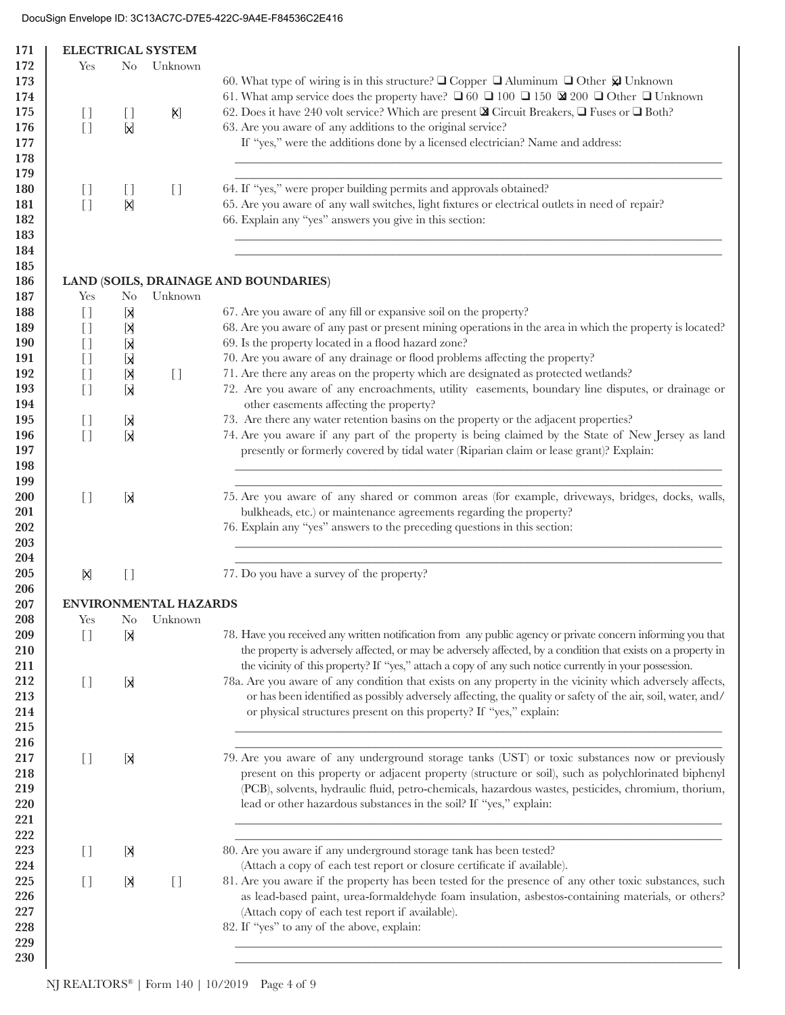| 171        |                                        |                   | <b>ELECTRICAL SYSTEM</b>               |                                                                                                                                     |
|------------|----------------------------------------|-------------------|----------------------------------------|-------------------------------------------------------------------------------------------------------------------------------------|
| 172        | Yes                                    | $\rm No$          | Unknown                                |                                                                                                                                     |
| 173        |                                        |                   |                                        | 60. What type of wiring is in this structure? $\square$ Copper $\square$ Aluminum $\square$ Other $\overline{\mathfrak{D}}$ Unknown |
| 174        |                                        |                   |                                        | 61. What amp service does the property have? $\Box$ 60 $\Box$ 100 $\Box$ 150 $\boxtimes$ 200 $\Box$ Other $\Box$ Unknown            |
| 175        |                                        |                   | X)                                     | 62. Does it have 240 volt service? Which are present <b>&amp;</b> Circuit Breakers, <b>Q</b> Fuses or <b>Q</b> Both?                |
|            | $\begin{bmatrix} 1 \end{bmatrix}$      | IJ                |                                        |                                                                                                                                     |
| 176        | $[ ]$                                  | X                 |                                        | 63. Are you aware of any additions to the original service?                                                                         |
| 177        |                                        |                   |                                        | If "yes," were the additions done by a licensed electrician? Name and address:                                                      |
| 178        |                                        |                   |                                        |                                                                                                                                     |
| 179        |                                        |                   |                                        |                                                                                                                                     |
| 180        | $\begin{bmatrix} 1 \end{bmatrix}$      | IJ                | $\begin{bmatrix} 1 \end{bmatrix}$      | 64. If "yes," were proper building permits and approvals obtained?                                                                  |
| 181        | $[ ]$                                  | X                 |                                        | 65. Are you aware of any wall switches, light fixtures or electrical outlets in need of repair?                                     |
| 182        |                                        |                   |                                        | 66. Explain any "yes" answers you give in this section:                                                                             |
| 183        |                                        |                   |                                        |                                                                                                                                     |
| 184        |                                        |                   |                                        |                                                                                                                                     |
| 185        |                                        |                   |                                        |                                                                                                                                     |
| 186        |                                        |                   |                                        | LAND (SOILS, DRAINAGE AND BOUNDARIES)                                                                                               |
| 187        | Yes                                    | N <sub>0</sub>    | Unknown                                |                                                                                                                                     |
| 188        | $\begin{array}{c} \square \end{array}$ | [X                |                                        | 67. Are you aware of any fill or expansive soil on the property?                                                                    |
| 189        |                                        | [X                |                                        | 68. Are you aware of any past or present mining operations in the area in which the property is located?                            |
| <b>190</b> |                                        |                   |                                        | 69. Is the property located in a flood hazard zone?                                                                                 |
|            |                                        | X                 |                                        |                                                                                                                                     |
| 191        | $[ \ ]$                                | X                 |                                        | 70. Are you aware of any drainage or flood problems affecting the property?                                                         |
| 192        |                                        | X                 | $\begin{array}{c} \square \end{array}$ | 71. Are there any areas on the property which are designated as protected wetlands?                                                 |
| 193        | $[ \ ]$                                | Х                 |                                        | 72. Are you aware of any encroachments, utility easements, boundary line disputes, or drainage or                                   |
| 194        |                                        |                   |                                        | other easements affecting the property?                                                                                             |
| 195        | $[ \ ]$                                | Ы                 |                                        | 73. Are there any water retention basins on the property or the adjacent properties?                                                |
| 196        | $\begin{array}{c} \square \end{array}$ | X                 |                                        | 74. Are you aware if any part of the property is being claimed by the State of New Jersey as land                                   |
| 197        |                                        |                   |                                        | presently or formerly covered by tidal water (Riparian claim or lease grant)? Explain:                                              |
| 198        |                                        |                   |                                        |                                                                                                                                     |
| 199        |                                        |                   |                                        |                                                                                                                                     |
| 200        | $\begin{bmatrix} 1 \end{bmatrix}$      | X                 |                                        | 75. Are you aware of any shared or common areas (for example, driveways, bridges, docks, walls,                                     |
| 201        |                                        |                   |                                        | bulkheads, etc.) or maintenance agreements regarding the property?                                                                  |
| 202        |                                        |                   |                                        | 76. Explain any "yes" answers to the preceding questions in this section:                                                           |
| 203        |                                        |                   |                                        |                                                                                                                                     |
| 204        |                                        |                   |                                        |                                                                                                                                     |
| 205        | X                                      | $\left[\,\right]$ |                                        | 77. Do you have a survey of the property?                                                                                           |
| 206        |                                        |                   |                                        |                                                                                                                                     |
| 207        |                                        |                   | <b>ENVIRONMENTAL HAZARDS</b>           |                                                                                                                                     |
| 208        | Yes                                    | N <sub>0</sub>    | Unknown                                |                                                                                                                                     |
| 209        | $[ \ ]$                                | [X                |                                        | 78. Have you received any written notification from any public agency or private concern informing you that                         |
|            |                                        |                   |                                        | the property is adversely affected, or may be adversely affected, by a condition that exists on a property in                       |
| 210        |                                        |                   |                                        |                                                                                                                                     |
| 211        |                                        |                   |                                        | the vicinity of this property? If "yes," attach a copy of any such notice currently in your possession.                             |
| 212        | $\begin{bmatrix} 1 \end{bmatrix}$      | X                 |                                        | 78a. Are you aware of any condition that exists on any property in the vicinity which adversely affects,                            |
| 213        |                                        |                   |                                        | or has been identified as possibly adversely affecting, the quality or safety of the air, soil, water, and/                         |
| 214        |                                        |                   |                                        | or physical structures present on this property? If "yes," explain:                                                                 |
| 215        |                                        |                   |                                        |                                                                                                                                     |
| 216        |                                        |                   |                                        |                                                                                                                                     |
| 217        | $\begin{bmatrix} 1 \end{bmatrix}$      | [X                |                                        | 79. Are you aware of any underground storage tanks (UST) or toxic substances now or previously                                      |
| 218        |                                        |                   |                                        | present on this property or adjacent property (structure or soil), such as polychlorinated biphenyl                                 |
| 219        |                                        |                   |                                        | (PCB), solvents, hydraulic fluid, petro-chemicals, hazardous wastes, pesticides, chromium, thorium,                                 |
| 220        |                                        |                   |                                        | lead or other hazardous substances in the soil? If "yes," explain:                                                                  |
| 221        |                                        |                   |                                        |                                                                                                                                     |
| 222        |                                        |                   |                                        |                                                                                                                                     |
| 223        | $\begin{bmatrix} 1 \end{bmatrix}$      | X                 |                                        | 80. Are you aware if any underground storage tank has been tested?                                                                  |
| 224        |                                        |                   |                                        | (Attach a copy of each test report or closure certificate if available).                                                            |
|            |                                        |                   |                                        |                                                                                                                                     |
| 225        | $[$                                    | [X]               | $[ \ ]$                                | 81. Are you aware if the property has been tested for the presence of any other toxic substances, such                              |
| 226        |                                        |                   |                                        | as lead-based paint, urea-formaldehyde foam insulation, asbestos-containing materials, or others?                                   |
| 227        |                                        |                   |                                        | (Attach copy of each test report if available).                                                                                     |
| 228        |                                        |                   |                                        | 82. If "yes" to any of the above, explain:                                                                                          |
| 229        |                                        |                   |                                        |                                                                                                                                     |
| 230        |                                        |                   |                                        |                                                                                                                                     |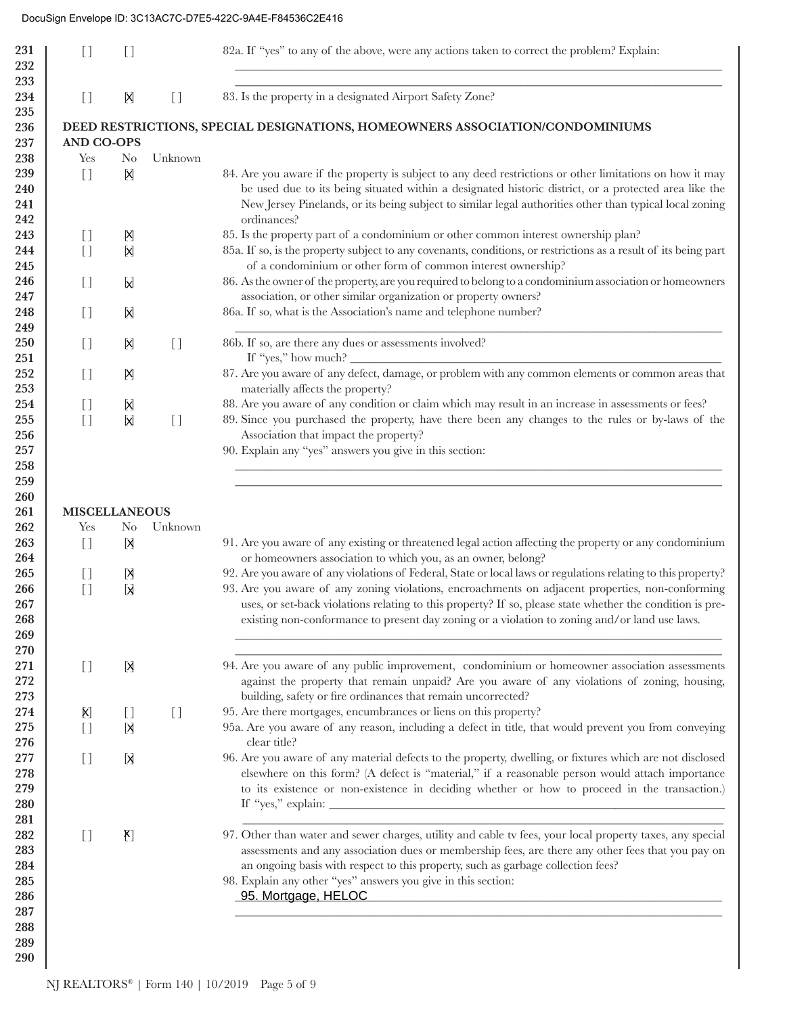| 231<br>232 | $[ \ ]$                                        | []                                     |                                        | 82a. If "yes" to any of the above, were any actions taken to correct the problem? Explain:                                                                                                                                           |
|------------|------------------------------------------------|----------------------------------------|----------------------------------------|--------------------------------------------------------------------------------------------------------------------------------------------------------------------------------------------------------------------------------------|
| 233<br>234 | $\begin{bmatrix} 1 \end{bmatrix}$              | X                                      | $\begin{array}{c} \square \end{array}$ | 83. Is the property in a designated Airport Safety Zone?                                                                                                                                                                             |
| 235        |                                                |                                        |                                        |                                                                                                                                                                                                                                      |
| 236        |                                                |                                        |                                        | DEED RESTRICTIONS, SPECIAL DESIGNATIONS, HOMEOWNERS ASSOCIATION/CONDOMINIUMS                                                                                                                                                         |
| 237<br>238 | <b>AND CO-OPS</b><br>Yes                       | N <sub>0</sub>                         | Unknown                                |                                                                                                                                                                                                                                      |
| 239        | $\begin{array}{c} \square \end{array}$         | X                                      |                                        | 84. Are you aware if the property is subject to any deed restrictions or other limitations on how it may                                                                                                                             |
| 240        |                                                |                                        |                                        | be used due to its being situated within a designated historic district, or a protected area like the                                                                                                                                |
| 241        |                                                |                                        |                                        | New Jersey Pinelands, or its being subject to similar legal authorities other than typical local zoning                                                                                                                              |
| 242        |                                                |                                        |                                        | ordinances?                                                                                                                                                                                                                          |
| 243        | $\begin{bmatrix} 1 \end{bmatrix}$              | M                                      |                                        | 85. Is the property part of a condominium or other common interest ownership plan?                                                                                                                                                   |
| 244        | $[ \ ]$                                        | X                                      |                                        | 85a. If so, is the property subject to any covenants, conditions, or restrictions as a result of its being part                                                                                                                      |
| 245        |                                                |                                        |                                        | of a condominium or other form of common interest ownership?                                                                                                                                                                         |
| 246        | $\begin{bmatrix} 1 \end{bmatrix}$              | M                                      |                                        | 86. As the owner of the property, are you required to belong to a condominium association or homeowners                                                                                                                              |
| 247        |                                                |                                        |                                        | association, or other similar organization or property owners?                                                                                                                                                                       |
| 248        | $[$                                            | X                                      |                                        | 86a. If so, what is the Association's name and telephone number?                                                                                                                                                                     |
| 249        |                                                |                                        |                                        |                                                                                                                                                                                                                                      |
| 250        | $\begin{bmatrix} 1 \end{bmatrix}$              | X                                      | $[$                                    | 86b. If so, are there any dues or assessments involved?                                                                                                                                                                              |
| 251        |                                                |                                        |                                        | If "yes," how much? $\overline{\phantom{a}}$<br>87. Are you aware of any defect, damage, or problem with any common elements or common areas that                                                                                    |
| 252<br>253 | $\begin{bmatrix} 1 \end{bmatrix}$              | Ŋ                                      |                                        | materially affects the property?                                                                                                                                                                                                     |
| 254        | $\begin{bmatrix} 1 \end{bmatrix}$              | X                                      |                                        | 88. Are you aware of any condition or claim which may result in an increase in assessments or fees?                                                                                                                                  |
| 255        | $[ \ ]$                                        | $\mathsf{X}$                           | $[ \ ]$                                | 89. Since you purchased the property, have there been any changes to the rules or by-laws of the                                                                                                                                     |
| 256        |                                                |                                        |                                        | Association that impact the property?                                                                                                                                                                                                |
| 257        |                                                |                                        |                                        | 90. Explain any "yes" answers you give in this section:                                                                                                                                                                              |
| 258        |                                                |                                        |                                        |                                                                                                                                                                                                                                      |
| 259        |                                                |                                        |                                        |                                                                                                                                                                                                                                      |
| 260        |                                                |                                        |                                        |                                                                                                                                                                                                                                      |
| 261        | <b>MISCELLANEOUS</b>                           |                                        |                                        |                                                                                                                                                                                                                                      |
| 262        | Yes                                            | N <sub>0</sub>                         | Unknown                                |                                                                                                                                                                                                                                      |
| 263        | $\begin{array}{c} \square \end{array}$         | X                                      |                                        | 91. Are you aware of any existing or threatened legal action affecting the property or any condominium                                                                                                                               |
| 264<br>265 |                                                |                                        |                                        | or homeowners association to which you, as an owner, belong?<br>92. Are you aware of any violations of Federal, State or local laws or regulations relating to this property?                                                        |
| 266        | $\begin{bmatrix} 1 \end{bmatrix}$<br>$[ \ ]$   | Ŋ<br><b>X</b>                          |                                        | 93. Are you aware of any zoning violations, encroachments on adjacent properties, non-conforming                                                                                                                                     |
| 267        |                                                |                                        |                                        | uses, or set-back violations relating to this property? If so, please state whether the condition is pre-                                                                                                                            |
| 268        |                                                |                                        |                                        | existing non-conformance to present day zoning or a violation to zoning and/or land use laws.                                                                                                                                        |
| 269        |                                                |                                        |                                        |                                                                                                                                                                                                                                      |
| 270        |                                                |                                        |                                        |                                                                                                                                                                                                                                      |
| 271        | $[ \ ]$                                        | [X                                     |                                        | 94. Are you aware of any public improvement, condominium or homeowner association assessments                                                                                                                                        |
| 272        |                                                |                                        |                                        | against the property that remain unpaid? Are you aware of any violations of zoning, housing,                                                                                                                                         |
| 273        |                                                |                                        |                                        | building, safety or fire ordinances that remain uncorrected?                                                                                                                                                                         |
| 274        | $\left[\!\!\left[\mathsf{X}\right]\!\!\right]$ | $\begin{array}{c} \square \end{array}$ | $\begin{array}{c} \square \end{array}$ | 95. Are there mortgages, encumbrances or liens on this property?                                                                                                                                                                     |
| 275<br>276 | $[ \ ]$                                        | [X                                     |                                        | 95a. Are you aware of any reason, including a defect in title, that would prevent you from conveying<br>clear title?                                                                                                                 |
| 277        | $[ \ ]$                                        | X                                      |                                        | 96. Are you aware of any material defects to the property, dwelling, or fixtures which are not disclosed                                                                                                                             |
| 278        |                                                |                                        |                                        | elsewhere on this form? (A defect is "material," if a reasonable person would attach importance                                                                                                                                      |
| 279        |                                                |                                        |                                        | to its existence or non-existence in deciding whether or how to proceed in the transaction.)                                                                                                                                         |
| 280        |                                                |                                        |                                        |                                                                                                                                                                                                                                      |
| 281        |                                                |                                        |                                        |                                                                                                                                                                                                                                      |
| 282        | $\begin{bmatrix} 1 \end{bmatrix}$              | $[\mathbf{X}]$                         |                                        | 97. Other than water and sewer charges, utility and cable tv fees, your local property taxes, any special                                                                                                                            |
| 283        |                                                |                                        |                                        | assessments and any association dues or membership fees, are there any other fees that you pay on                                                                                                                                    |
| 284        |                                                |                                        |                                        | an ongoing basis with respect to this property, such as garbage collection fees?                                                                                                                                                     |
| 285        |                                                |                                        |                                        | 98. Explain any other "yes" answers you give in this section:                                                                                                                                                                        |
| 286        |                                                |                                        |                                        | 95. Mortgage, HELOC <b>Contract Contract Contract Contract Contract Contract Contract Contract Contract Contract Contract Contract Contract Contract Contract Contract Contract Contract Contract Contract Contract Contract Con</b> |
| 287<br>288 |                                                |                                        |                                        |                                                                                                                                                                                                                                      |
| 289        |                                                |                                        |                                        |                                                                                                                                                                                                                                      |
| 290        |                                                |                                        |                                        |                                                                                                                                                                                                                                      |
|            |                                                |                                        |                                        |                                                                                                                                                                                                                                      |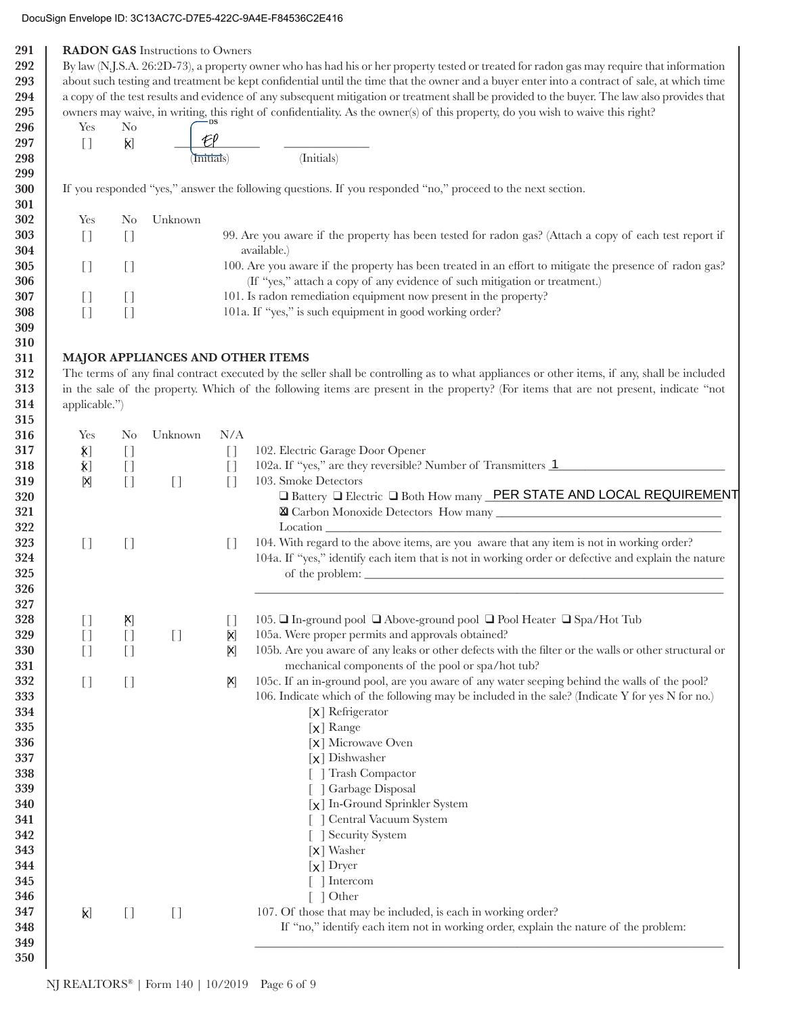| Yes<br>$[ ]$                      | N <sub>o</sub><br>$\mathsf{X}$         |                                   |                                                                                                                       | owners may waive, in writing, this right of confidentiality. As the owner(s) of this property, do you wish to waive this right?                                                                                                                                                      |
|-----------------------------------|----------------------------------------|-----------------------------------|-----------------------------------------------------------------------------------------------------------------------|--------------------------------------------------------------------------------------------------------------------------------------------------------------------------------------------------------------------------------------------------------------------------------------|
|                                   |                                        |                                   |                                                                                                                       |                                                                                                                                                                                                                                                                                      |
|                                   |                                        |                                   |                                                                                                                       |                                                                                                                                                                                                                                                                                      |
|                                   |                                        |                                   | Initials)                                                                                                             | (Initials)                                                                                                                                                                                                                                                                           |
|                                   |                                        |                                   |                                                                                                                       | If you responded "yes," answer the following questions. If you responded "no," proceed to the next section.                                                                                                                                                                          |
| Yes                               | N <sub>0</sub>                         | Unknown                           |                                                                                                                       |                                                                                                                                                                                                                                                                                      |
| $[ \ ]$                           | $[$                                    |                                   | 99. Are you aware if the property has been tested for radon gas? (Attach a copy of each test report if<br>available.) |                                                                                                                                                                                                                                                                                      |
| $[ \ ]$                           | $[$                                    |                                   |                                                                                                                       | 100. Are you aware if the property has been treated in an effort to mitigate the presence of radon gas?<br>(If "yes," attach a copy of any evidence of such mitigation or treatment.)                                                                                                |
| $[$                               | $\begin{array}{c} \square \end{array}$ |                                   |                                                                                                                       | 101. Is radon remediation equipment now present in the property?                                                                                                                                                                                                                     |
| $[ \ ]$                           | $[ \ ]$                                |                                   |                                                                                                                       | 101a. If "yes," is such equipment in good working order?                                                                                                                                                                                                                             |
|                                   |                                        |                                   |                                                                                                                       |                                                                                                                                                                                                                                                                                      |
|                                   |                                        | MAJOR APPLIANCES AND OTHER ITEMS  |                                                                                                                       |                                                                                                                                                                                                                                                                                      |
|                                   |                                        |                                   |                                                                                                                       | The terms of any final contract executed by the seller shall be controlling as to what appliances or other items, if any, shall be included<br>in the sale of the property. Which of the following items are present in the property? (For items that are not present, indicate "not |
| applicable.")                     |                                        |                                   |                                                                                                                       |                                                                                                                                                                                                                                                                                      |
|                                   |                                        |                                   |                                                                                                                       |                                                                                                                                                                                                                                                                                      |
| Yes                               | N <sub>o</sub>                         | Unknown                           | N/A                                                                                                                   |                                                                                                                                                                                                                                                                                      |
| $\bm{\mathsf{X}}$                 | $[ \ ]$                                |                                   | $[$                                                                                                                   | 102. Electric Garage Door Opener                                                                                                                                                                                                                                                     |
| $\bm{\mathsf{X}}$                 | $[ \ ]$                                |                                   | $[$                                                                                                                   | 102a. If "yes," are they reversible? Number of Transmitters 1                                                                                                                                                                                                                        |
| Ŋ                                 | $[ \ ]$                                | $\begin{bmatrix} 1 \end{bmatrix}$ | $[$                                                                                                                   | 103. Smoke Detectors                                                                                                                                                                                                                                                                 |
|                                   |                                        |                                   |                                                                                                                       | □ Battery □ Electric □ Both How many PER STATE AND LOCAL REQUIREMENT                                                                                                                                                                                                                 |
|                                   |                                        |                                   |                                                                                                                       |                                                                                                                                                                                                                                                                                      |
| $[ \ ]$                           | $[ \ ]$                                |                                   | $[$                                                                                                                   | 104. With regard to the above items, are you aware that any item is not in working order?                                                                                                                                                                                            |
|                                   |                                        |                                   |                                                                                                                       | 104a. If "yes," identify each item that is not in working order or defective and explain the nature                                                                                                                                                                                  |
|                                   |                                        |                                   |                                                                                                                       |                                                                                                                                                                                                                                                                                      |
|                                   |                                        |                                   |                                                                                                                       |                                                                                                                                                                                                                                                                                      |
| $\begin{bmatrix} 1 \end{bmatrix}$ | X)                                     |                                   | $\begin{bmatrix} 1 \end{bmatrix}$                                                                                     | 105. □ In-ground pool □ Above-ground pool □ Pool Heater □ Spa/Hot Tub                                                                                                                                                                                                                |
| $[ \ ]$                           | $[ \ ]$                                | $[ \ ]$                           | X                                                                                                                     | 105a. Were proper permits and approvals obtained?                                                                                                                                                                                                                                    |
| $[ \ ]$                           | $[ \ ]$                                |                                   | [X]                                                                                                                   | 105b. Are you aware of any leaks or other defects with the filter or the walls or other structural or<br>mechanical components of the pool or spa/hot tub?                                                                                                                           |
| $[ \ ]$                           | $[ \ ]$                                |                                   | $\mathsf{X}$                                                                                                          | 105c. If an in-ground pool, are you aware of any water seeping behind the walls of the pool?                                                                                                                                                                                         |
|                                   |                                        |                                   |                                                                                                                       | 106. Indicate which of the following may be included in the sale? (Indicate Y for yes N for no.)                                                                                                                                                                                     |
|                                   |                                        |                                   |                                                                                                                       | $\lceil x \rceil$ Refrigerator                                                                                                                                                                                                                                                       |
|                                   |                                        |                                   |                                                                                                                       | $\lceil x \rceil$ Range<br>[X] Microwave Oven                                                                                                                                                                                                                                        |
|                                   |                                        |                                   |                                                                                                                       | $\left[\chi\right]$ Dishwasher                                                                                                                                                                                                                                                       |
|                                   |                                        |                                   |                                                                                                                       | [ ] Trash Compactor                                                                                                                                                                                                                                                                  |
|                                   |                                        |                                   |                                                                                                                       | [ ] Garbage Disposal                                                                                                                                                                                                                                                                 |
|                                   |                                        |                                   |                                                                                                                       | [x] In-Ground Sprinkler System                                                                                                                                                                                                                                                       |
|                                   |                                        |                                   |                                                                                                                       | Central Vacuum System                                                                                                                                                                                                                                                                |
|                                   |                                        |                                   |                                                                                                                       | [ ] Security System                                                                                                                                                                                                                                                                  |
|                                   |                                        |                                   |                                                                                                                       | $\left[\mathsf{x}\right]$ Washer                                                                                                                                                                                                                                                     |
|                                   |                                        |                                   |                                                                                                                       | $[x]$ Dryer                                                                                                                                                                                                                                                                          |
|                                   |                                        |                                   |                                                                                                                       |                                                                                                                                                                                                                                                                                      |
|                                   |                                        |                                   |                                                                                                                       | $\lceil \ \rceil$ Intercom                                                                                                                                                                                                                                                           |
|                                   |                                        |                                   |                                                                                                                       | $\lceil$   Other                                                                                                                                                                                                                                                                     |
| <b>X</b>                          | $[$                                    | $[ \ ]$                           |                                                                                                                       | 107. Of those that may be included, is each in working order?<br>If "no," identify each item not in working order, explain the nature of the problem:                                                                                                                                |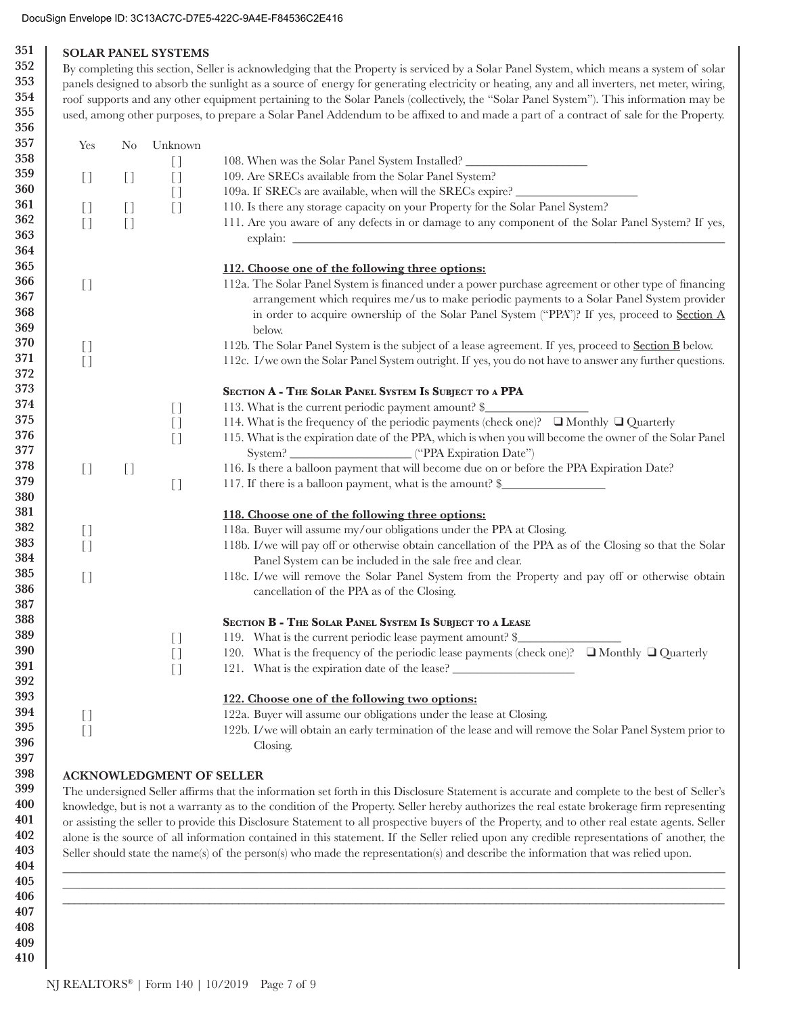#### 351 **SOLAR PANEL SYSTEMS** 352

353

354

355

By completing this section, Seller is acknowledging that the Property is serviced by a Solar Panel System, which means a system of solar panels designed to absorb the sunlight as a source of energy for generating electricity or heating, any and all inverters, net meter, wiring, roof supports and any other equipment pertaining to the Solar Panels (collectively, the "Solar Panel System"). This information may be used, among other purposes, to prepare a Solar Panel Addendum to be affixed to and made a part of a contract of sale for the Property.

|                                          | N <sub>0</sub> | Unknown                                |                                                                                                                                                                                                                                                                                                      |
|------------------------------------------|----------------|----------------------------------------|------------------------------------------------------------------------------------------------------------------------------------------------------------------------------------------------------------------------------------------------------------------------------------------------------|
|                                          |                | $[$                                    | 108. When was the Solar Panel System Installed?                                                                                                                                                                                                                                                      |
| $\begin{bmatrix} 1 \end{bmatrix}$        | $[$            | $[ \ ]$                                | 109. Are SRECs available from the Solar Panel System?                                                                                                                                                                                                                                                |
|                                          |                | $[$                                    | 109a. If SRECs are available, when will the SRECs expire?                                                                                                                                                                                                                                            |
| $[$                                      | $[$            | $[$                                    | 110. Is there any storage capacity on your Property for the Solar Panel System?                                                                                                                                                                                                                      |
| $\begin{array}{c} \square \end{array}$   | $[$            |                                        | 111. Are you aware of any defects in or damage to any component of the Solar Panel System? If yes,                                                                                                                                                                                                   |
|                                          |                |                                        |                                                                                                                                                                                                                                                                                                      |
|                                          |                |                                        | 112. Choose one of the following three options:                                                                                                                                                                                                                                                      |
| $\begin{bmatrix} 1 \end{bmatrix}$        |                |                                        | 112a. The Solar Panel System is financed under a power purchase agreement or other type of financing<br>arrangement which requires me/us to make periodic payments to a Solar Panel System provider<br>in order to acquire ownership of the Solar Panel System ("PPA")? If yes, proceed to Section A |
|                                          |                |                                        | below.                                                                                                                                                                                                                                                                                               |
| $\begin{bmatrix} 1 \end{bmatrix}$<br>$[$ |                |                                        | 112b. The Solar Panel System is the subject of a lease agreement. If yes, proceed to <b>Section B</b> below.<br>112c. I/we own the Solar Panel System outright. If yes, you do not have to answer any further questions.                                                                             |
|                                          |                |                                        | SECTION A - THE SOLAR PANEL SYSTEM IS SUBJECT TO A PPA                                                                                                                                                                                                                                               |
|                                          |                | $\begin{array}{c} \square \end{array}$ | 113. What is the current periodic payment amount? \$                                                                                                                                                                                                                                                 |
|                                          |                | $[ \ ]$                                | 114. What is the frequency of the periodic payments (check one)? ■ Monthly ■ Quarterly                                                                                                                                                                                                               |
|                                          |                | $[ \ ]$                                | 115. What is the expiration date of the PPA, which is when you will become the owner of the Solar Panel                                                                                                                                                                                              |
| $\begin{bmatrix} 1 \end{bmatrix}$        | $[ \ ]$        |                                        | 116. Is there a balloon payment that will become due on or before the PPA Expiration Date?                                                                                                                                                                                                           |
|                                          |                | $[ \ ]$                                | 117. If there is a balloon payment, what is the amount? \$                                                                                                                                                                                                                                           |
|                                          |                |                                        | 118. Choose one of the following three options:                                                                                                                                                                                                                                                      |
| $\begin{array}{c} \square \end{array}$   |                |                                        | 118a. Buyer will assume my/our obligations under the PPA at Closing.                                                                                                                                                                                                                                 |
| $[ \ ]$                                  |                |                                        | 118b. I/we will pay off or otherwise obtain cancellation of the PPA as of the Closing so that the Solar                                                                                                                                                                                              |
|                                          |                |                                        | Panel System can be included in the sale free and clear.                                                                                                                                                                                                                                             |
| $\begin{bmatrix} 1 \end{bmatrix}$        |                |                                        | 118c. I/we will remove the Solar Panel System from the Property and pay off or otherwise obtain<br>cancellation of the PPA as of the Closing.                                                                                                                                                        |
|                                          |                |                                        | SECTION B - THE SOLAR PANEL SYSTEM IS SUBJECT TO A LEASE                                                                                                                                                                                                                                             |
|                                          |                | $\begin{array}{c} \square \end{array}$ | 119. What is the current periodic lease payment amount? \$                                                                                                                                                                                                                                           |
|                                          |                | $\begin{array}{c} \square \end{array}$ | 120. What is the frequency of the periodic lease payments (check one)? $\Box$ Monthly $\Box$ Quarterly                                                                                                                                                                                               |
|                                          |                | $[$                                    | 121. What is the expiration date of the lease? _________________________________                                                                                                                                                                                                                     |
|                                          |                |                                        | 122. Choose one of the following two options:                                                                                                                                                                                                                                                        |
|                                          |                |                                        |                                                                                                                                                                                                                                                                                                      |
| $\begin{bmatrix} 1 \end{bmatrix}$        |                |                                        | 122a. Buyer will assume our obligations under the lease at Closing.                                                                                                                                                                                                                                  |

410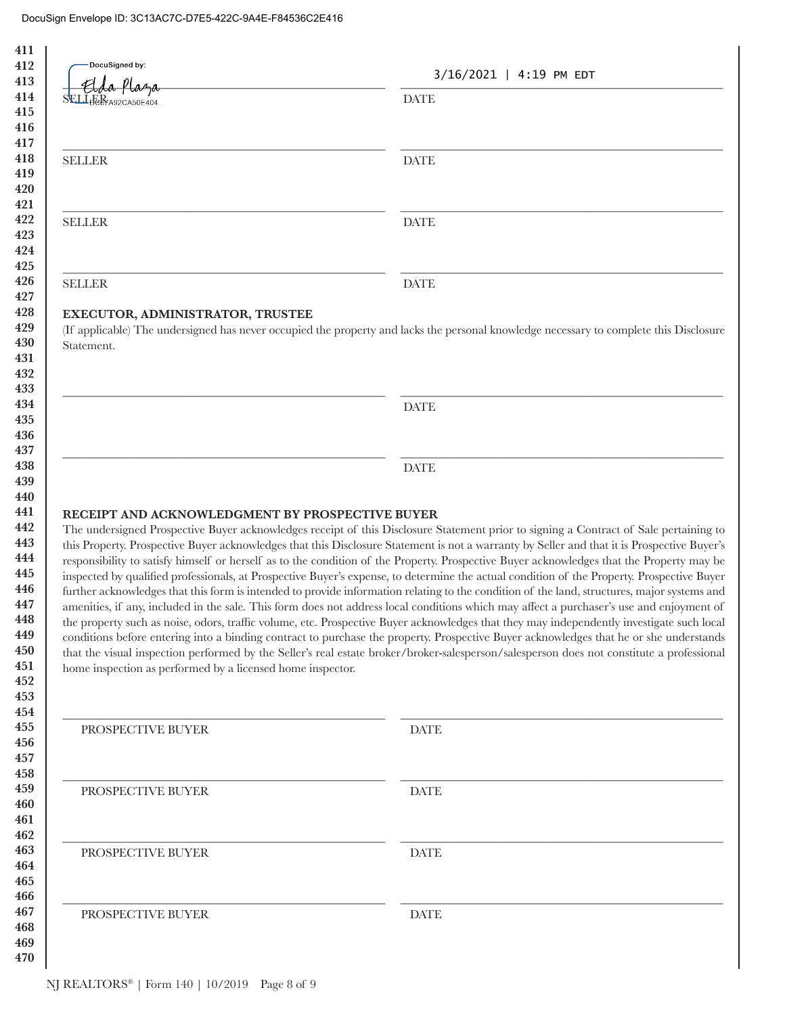| DocuSigned by:                                             | 3/16/2021   4:19 PM EDT                                                                                                                                                                                                                                                                                                                                                                                                                                                                                                                                                                                                                                                                                                                                                                                                                                                                                                                                                                                                                                                                                                                                                                                                                                                                                        |
|------------------------------------------------------------|----------------------------------------------------------------------------------------------------------------------------------------------------------------------------------------------------------------------------------------------------------------------------------------------------------------------------------------------------------------------------------------------------------------------------------------------------------------------------------------------------------------------------------------------------------------------------------------------------------------------------------------------------------------------------------------------------------------------------------------------------------------------------------------------------------------------------------------------------------------------------------------------------------------------------------------------------------------------------------------------------------------------------------------------------------------------------------------------------------------------------------------------------------------------------------------------------------------------------------------------------------------------------------------------------------------|
| SELLEERA92CA50E404                                         | <b>DATE</b>                                                                                                                                                                                                                                                                                                                                                                                                                                                                                                                                                                                                                                                                                                                                                                                                                                                                                                                                                                                                                                                                                                                                                                                                                                                                                                    |
|                                                            |                                                                                                                                                                                                                                                                                                                                                                                                                                                                                                                                                                                                                                                                                                                                                                                                                                                                                                                                                                                                                                                                                                                                                                                                                                                                                                                |
| <b>SELLER</b>                                              | <b>DATE</b>                                                                                                                                                                                                                                                                                                                                                                                                                                                                                                                                                                                                                                                                                                                                                                                                                                                                                                                                                                                                                                                                                                                                                                                                                                                                                                    |
| <b>SELLER</b>                                              | <b>DATE</b>                                                                                                                                                                                                                                                                                                                                                                                                                                                                                                                                                                                                                                                                                                                                                                                                                                                                                                                                                                                                                                                                                                                                                                                                                                                                                                    |
| <b>SELLER</b>                                              | <b>DATE</b>                                                                                                                                                                                                                                                                                                                                                                                                                                                                                                                                                                                                                                                                                                                                                                                                                                                                                                                                                                                                                                                                                                                                                                                                                                                                                                    |
|                                                            |                                                                                                                                                                                                                                                                                                                                                                                                                                                                                                                                                                                                                                                                                                                                                                                                                                                                                                                                                                                                                                                                                                                                                                                                                                                                                                                |
| EXECUTOR, ADMINISTRATOR, TRUSTEE<br>Statement.             | (If applicable) The undersigned has never occupied the property and lacks the personal knowledge necessary to complete this Disclosure                                                                                                                                                                                                                                                                                                                                                                                                                                                                                                                                                                                                                                                                                                                                                                                                                                                                                                                                                                                                                                                                                                                                                                         |
|                                                            | <b>DATE</b>                                                                                                                                                                                                                                                                                                                                                                                                                                                                                                                                                                                                                                                                                                                                                                                                                                                                                                                                                                                                                                                                                                                                                                                                                                                                                                    |
|                                                            |                                                                                                                                                                                                                                                                                                                                                                                                                                                                                                                                                                                                                                                                                                                                                                                                                                                                                                                                                                                                                                                                                                                                                                                                                                                                                                                |
|                                                            |                                                                                                                                                                                                                                                                                                                                                                                                                                                                                                                                                                                                                                                                                                                                                                                                                                                                                                                                                                                                                                                                                                                                                                                                                                                                                                                |
| RECEIPT AND ACKNOWLEDGMENT BY PROSPECTIVE BUYER            | <b>DATE</b>                                                                                                                                                                                                                                                                                                                                                                                                                                                                                                                                                                                                                                                                                                                                                                                                                                                                                                                                                                                                                                                                                                                                                                                                                                                                                                    |
| home inspection as performed by a licensed home inspector. | The undersigned Prospective Buyer acknowledges receipt of this Disclosure Statement prior to signing a Contract of Sale pertaining to<br>this Property. Prospective Buyer acknowledges that this Disclosure Statement is not a warranty by Seller and that it is Prospective Buyer's<br>responsibility to satisfy himself or herself as to the condition of the Property. Prospective Buyer acknowledges that the Property may be<br>inspected by qualified professionals, at Prospective Buyer's expense, to determine the actual condition of the Property. Prospective Buyer<br>further acknowledges that this form is intended to provide information relating to the condition of the land, structures, major systems and<br>amenities, if any, included in the sale. This form does not address local conditions which may affect a purchaser's use and enjoyment of<br>the property such as noise, odors, traffic volume, etc. Prospective Buyer acknowledges that they may independently investigate such local<br>conditions before entering into a binding contract to purchase the property. Prospective Buyer acknowledges that he or she understands<br>that the visual inspection performed by the Seller's real estate broker/broker-salesperson/salesperson does not constitute a professional |
| PROSPECTIVE BUYER                                          | <b>DATE</b>                                                                                                                                                                                                                                                                                                                                                                                                                                                                                                                                                                                                                                                                                                                                                                                                                                                                                                                                                                                                                                                                                                                                                                                                                                                                                                    |
| PROSPECTIVE BUYER                                          | <b>DATE</b>                                                                                                                                                                                                                                                                                                                                                                                                                                                                                                                                                                                                                                                                                                                                                                                                                                                                                                                                                                                                                                                                                                                                                                                                                                                                                                    |
| PROSPECTIVE BUYER                                          | <b>DATE</b>                                                                                                                                                                                                                                                                                                                                                                                                                                                                                                                                                                                                                                                                                                                                                                                                                                                                                                                                                                                                                                                                                                                                                                                                                                                                                                    |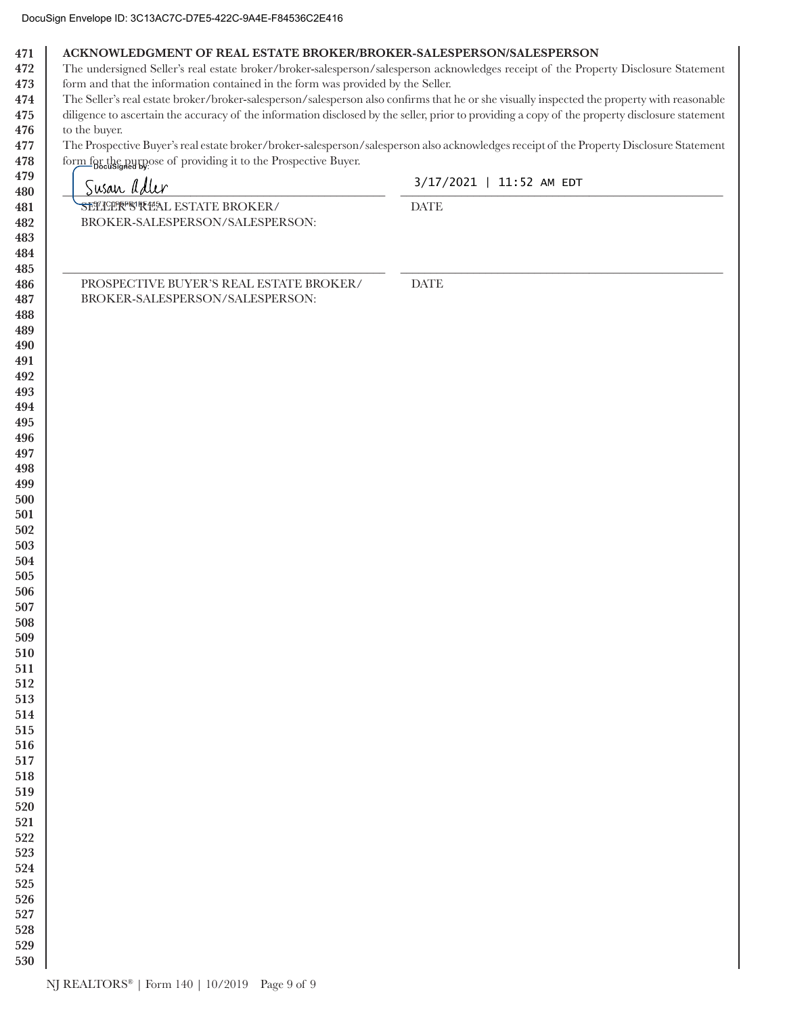| 471 l | ACKNOWLEDGMENT OF REAL ESTATE BROKER/BROKER-SALESPERSON/SALESPERSON |
|-------|---------------------------------------------------------------------|
|-------|---------------------------------------------------------------------|

472 The undersigned Seller's real estate broker/broker-salesperson/salesperson acknowledges receipt of the Property Disclosure Statement 473 form and that the information contained in the form was provided by the Seller.

The Seller's real estate broker/broker-salesperson/salesperson also confirms that he or she visually inspected the property with reasonable 474

475 diligence to ascertain the accuracy of the information disclosed by the seller, prior to providing a copy of the property disclosure statement 476 to the buyer.

The Prospective Buyer's real estate broker/broker-salesperson/salesperson also acknowledges receipt of the Property Disclosure Statement 477 478 form for the purpose of providing it to the Prospective Buyer.

| - Docusigned by: $\mathbb{F}$ is a set of $\mathbb{F}$<br>Susan adler | 3/17/2021   11:52 AM EDT     |
|-----------------------------------------------------------------------|------------------------------|
| SETICLER STAL ESTATE BROKER/                                          | $\ensuremath{\mathsf{DATE}}$ |
| BROKER-SALESPERSON/SALESPERSON:                                       |                              |
|                                                                       |                              |
|                                                                       |                              |
| PROSPECTIVE BUYER'S REAL ESTATE BROKER/                               | $\ensuremath{\mathsf{DATE}}$ |
| BROKER-SALESPERSON/SALESPERSON:                                       |                              |
|                                                                       |                              |
|                                                                       |                              |
|                                                                       |                              |
|                                                                       |                              |
|                                                                       |                              |
|                                                                       |                              |
|                                                                       |                              |
|                                                                       |                              |
|                                                                       |                              |
|                                                                       |                              |
|                                                                       |                              |
|                                                                       |                              |
|                                                                       |                              |
|                                                                       |                              |
|                                                                       |                              |
|                                                                       |                              |
|                                                                       |                              |
|                                                                       |                              |
|                                                                       |                              |
|                                                                       |                              |
|                                                                       |                              |
|                                                                       |                              |
|                                                                       |                              |
|                                                                       |                              |
|                                                                       |                              |
|                                                                       |                              |
|                                                                       |                              |
|                                                                       |                              |
|                                                                       |                              |
|                                                                       |                              |
|                                                                       |                              |
|                                                                       |                              |
|                                                                       |                              |
|                                                                       |                              |
|                                                                       |                              |
|                                                                       |                              |
|                                                                       |                              |
|                                                                       |                              |